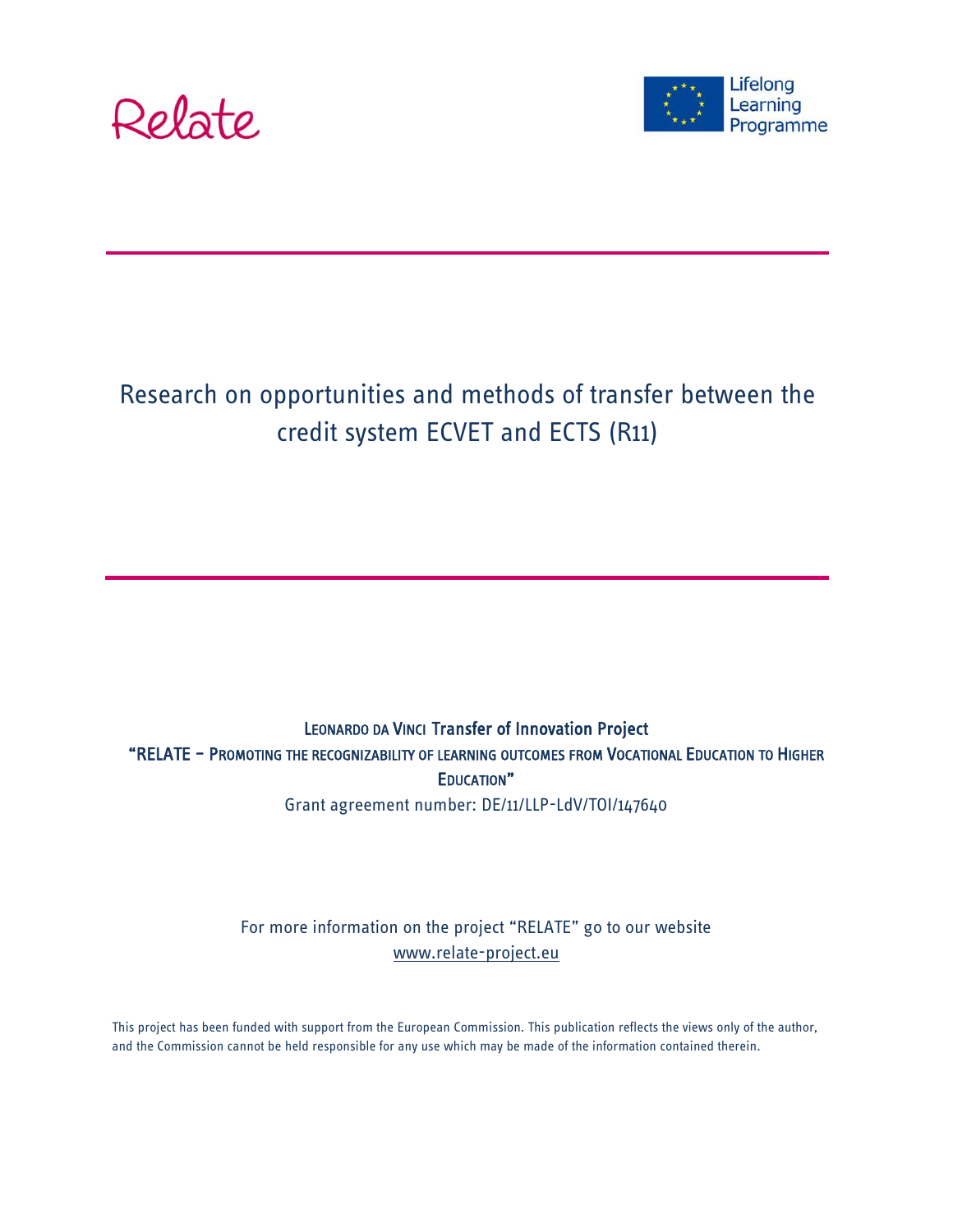



# Research on opportunities and methods of transfer between the credit system ECVET and ECTS (R11)

LEONARDO DA VINCI Transfer of Innovation Project "RELATE – PROMOTING THE RECOGNIZABILITY OF LEARNING OUTCOMES FROM VOCATIONAL EDUCATION TO HIGHER EDUCATION" Grant agreement number: DE/11/LLP-LdV/TOI/147640

> For more information on the project "RELATE" go to our website [www.relate-project.eu](http://www.relate-project.eu/)

This project has been funded with support from the European Commission. This publication reflects the views only of the author, and the Commission cannot be held responsible for any use which may be made of the information contained therein.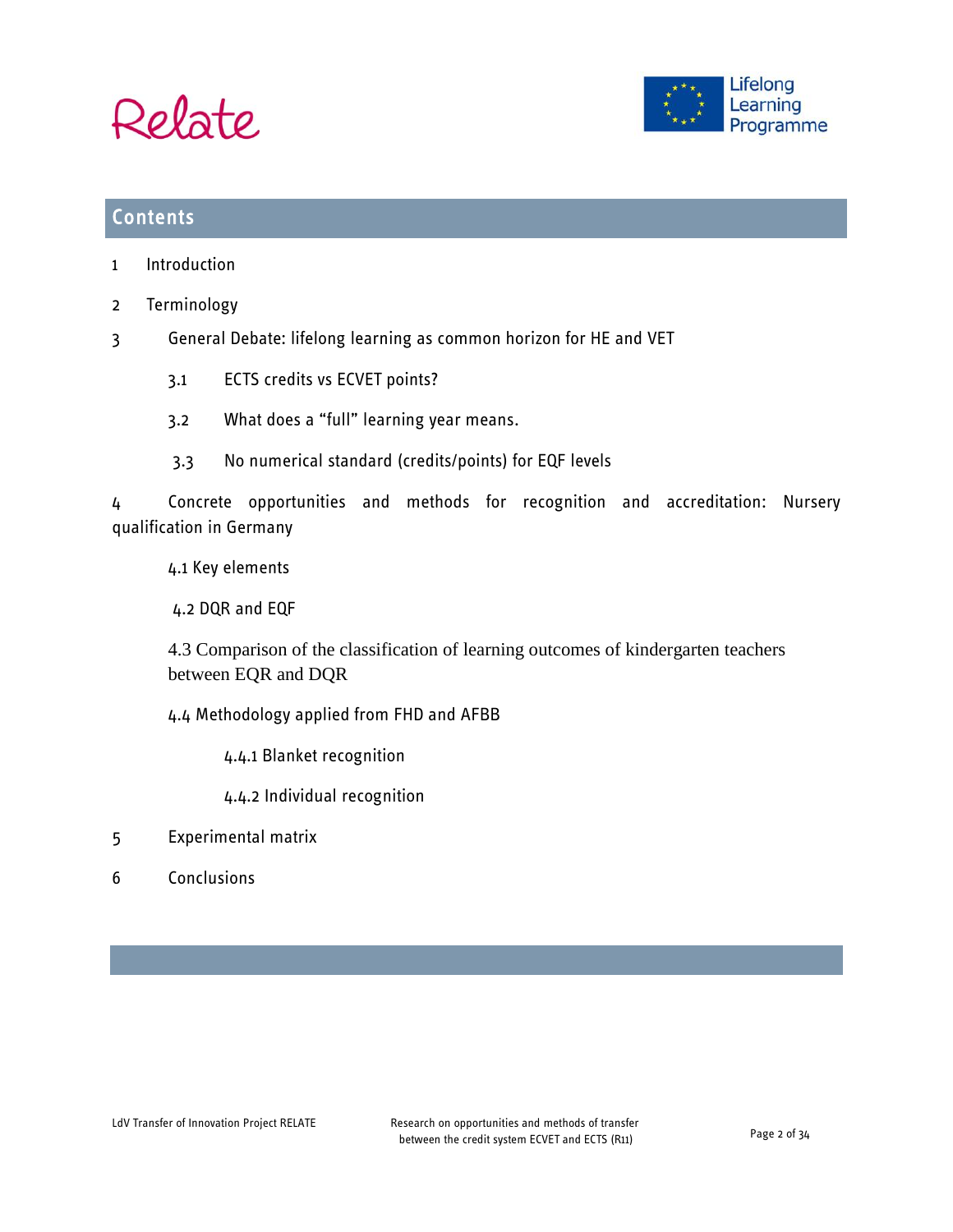



### **Contents**

- 1 Introduction
- 2 [Terminology](#page-8-0)
- 3 General Debate: lifelong learning as common horizon for HE and VET
	- 3.1 ECTS credits vs ECVET points?
	- 3.2 What does a "full" learning year means.
	- 3.3 No numerical standard (credits/points) for EQF levels

4 Concrete opportunities and methods for recognition and accreditation: Nursery qualification in Germany

4.1 Key elements

4.2 DQR and EQF

4.3 Comparison of the classification of learning outcomes of kindergarten teachers between EQR and DQR

4.4 Methodology applied from FHD and AFBB

4.4.1 Blanket recognition

4.4.2 Individual recognition

- 5 Experimental matrix
- 6 Conclusions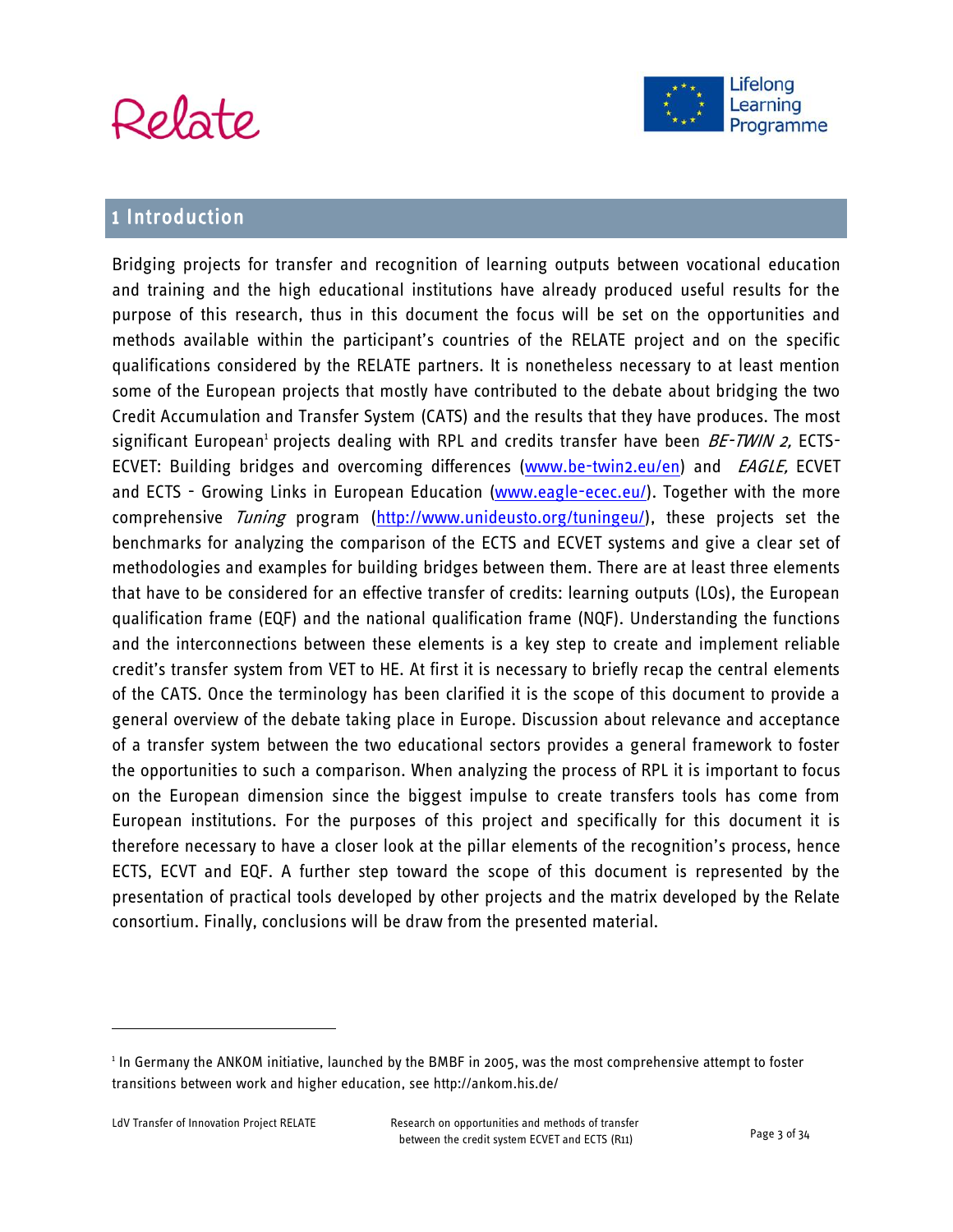



# 1 Introduction

Bridging projects for transfer and recognition of learning outputs between vocational education and training and the high educational institutions have already produced useful results for the purpose of this research, thus in this document the focus will be set on the opportunities and methods available within the participant's countries of the RELATE project and on the specific qualifications considered by the RELATE partners. It is nonetheless necessary to at least mention some of the European projects that mostly have contributed to the debate about bridging the two Credit Accumulation and Transfer System (CATS) and the results that they have produces. The most significant European<sup>1</sup> projects dealing with RPL and credits transfer have been *BE-TWIN 2,* ECTS-ECVET: Building bridges and overcoming differences [\(www.be-twin2.eu/en\)](http://www.be-twin2.eu/en) and *EAGLE*, ECVET and ECTS - Growing Links in European Education [\(www.eagle-ecec.eu/\)](http://www.eagle-ecec.eu/). Together with the more comprehensive Tuning program [\(http://www.unideusto.org/tuningeu/\)](http://www.unideusto.org/tuningeu/), these projects set the benchmarks for analyzing the comparison of the ECTS and ECVET systems and give a clear set of methodologies and examples for building bridges between them. There are at least three elements that have to be considered for an effective transfer of credits: learning outputs (LOs), the European qualification frame (EQF) and the national qualification frame (NQF). Understanding the functions and the interconnections between these elements is a key step to create and implement reliable credit's transfer system from VET to HE. At first it is necessary to briefly recap the central elements of the CATS. Once the terminology has been clarified it is the scope of this document to provide a general overview of the debate taking place in Europe. Discussion about relevance and acceptance of a transfer system between the two educational sectors provides a general framework to foster the opportunities to such a comparison. When analyzing the process of RPL it is important to focus on the European dimension since the biggest impulse to create transfers tools has come from European institutions. For the purposes of this project and specifically for this document it is therefore necessary to have a closer look at the pillar elements of the recognition's process, hence ECTS, ECVT and EQF. A further step toward the scope of this document is represented by the presentation of practical tools developed by other projects and the matrix developed by the Relate consortium. Finally, conclusions will be draw from the presented material.

<sup>&</sup>lt;sup>1</sup> In Germany the ANKOM initiative, launched by the BMBF in 2005, was the most comprehensive attempt to foster transitions between work and higher education, see http://ankom.his.de/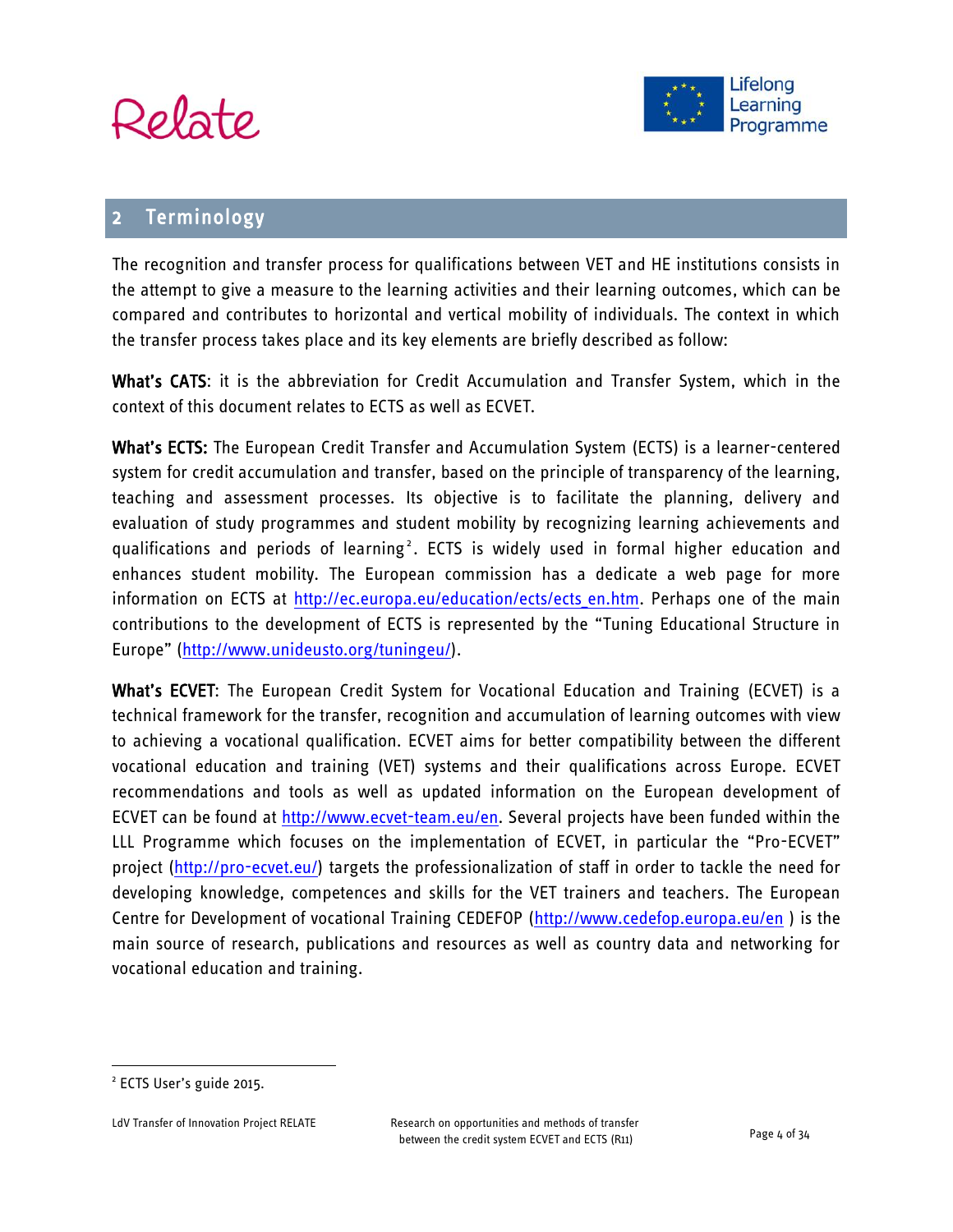



# **Terminology**

The recognition and transfer process for qualifications between VET and HE institutions consists in the attempt to give a measure to the learning activities and their learning outcomes, which can be compared and contributes to horizontal and vertical mobility of individuals. The context in which the transfer process takes place and its key elements are briefly described as follow:

What's CATS: it is the abbreviation for Credit Accumulation and Transfer System, which in the context of this document relates to ECTS as well as ECVET.

What's ECTS: The European Credit Transfer and Accumulation System (ECTS) is a learner-centered system for credit accumulation and transfer, based on the principle of transparency of the learning, teaching and assessment processes. Its objective is to facilitate the planning, delivery and evaluation of study programmes and student mobility by recognizing learning achievements and qualifications and periods of learning<sup>2</sup>. ECTS is widely used in formal higher education and enhances student mobility. The European commission has a dedicate a web page for more information on ECTS at http://ec.europa.eu/education/ects/ects en.htm. Perhaps one of the main contributions to the development of ECTS is represented by the "Tuning Educational Structure in Europe" ([http://www.unideusto.org/tuningeu/\)](http://www.unideusto.org/tuningeu/).

What's ECVET: The European Credit System for Vocational Education and Training (ECVET) is a technical framework for the transfer, recognition and accumulation of learning outcomes with view to achieving a vocational qualification. ECVET aims for better compatibility between the different vocational education and training (VET) systems and their qualifications across Europe. ECVET recommendations and tools as well as updated information on the European development of ECVET can be found at [http://www.ecvet-team.eu/en.](http://www.ecvet-team.eu/en) Several projects have been funded within the LLL Programme which focuses on the implementation of ECVET, in particular the "Pro-ECVET" project [\(http://pro-ecvet.eu/\)](http://pro-ecvet.eu/) targets the professionalization of staff in order to tackle the need for developing knowledge, competences and skills for the VET trainers and teachers. The European Centre for Development of vocational Training CEDEFOP [\(http://www.cedefop.europa.eu/en](http://www.cedefop.europa.eu/en) ) is the main source of research, publications and resources as well as country data and networking for vocational education and training.

<sup>&</sup>lt;sup>2</sup> ECTS User's guide 2015.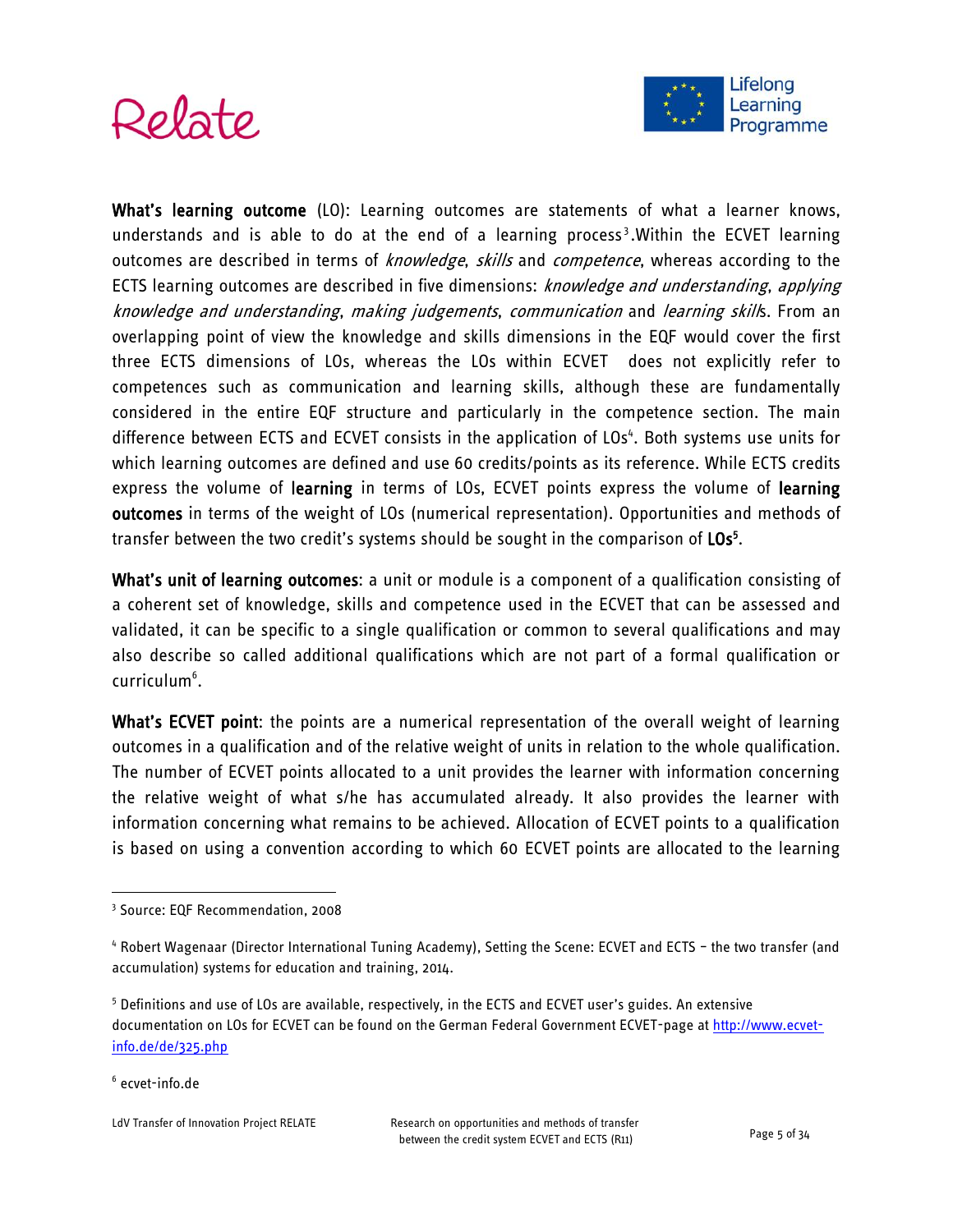



What's learning outcome (LO): Learning outcomes are statements of what a learner knows, understands and is able to do at the end of a learning process<sup>3</sup>. Within the ECVET learning outcomes are described in terms of knowledge, skills and competence, whereas according to the ECTS learning outcomes are described in five dimensions: *knowledge and understanding, applying* knowledge and understanding, making judgements, communication and learning skills. From an overlapping point of view the knowledge and skills dimensions in the EQF would cover the first three ECTS dimensions of LOs, whereas the LOs within ECVET does not explicitly refer to competences such as communication and learning skills, although these are fundamentally considered in the entire EQF structure and particularly in the competence section. The main difference between ECTS and ECVET consists in the application of LOs<sup>4</sup>. Both systems use units for which learning outcomes are defined and use 60 credits/points as its reference. While ECTS credits express the volume of learning in terms of LOs, ECVET points express the volume of learning outcomes in terms of the weight of LOs (numerical representation). Opportunities and methods of transfer between the two credit's systems should be sought in the comparison of LOs<sup>5</sup>.

What's unit of learning outcomes: a unit or module is a component of a qualification consisting of a coherent set of knowledge, skills and competence used in the ECVET that can be assessed and validated, it can be specific to a single qualification or common to several qualifications and may also describe so called additional qualifications which are not part of a formal qualification or curriculum<sup>6</sup>.

What's ECVET point: the points are a numerical representation of the overall weight of learning outcomes in a qualification and of the relative weight of units in relation to the whole qualification. The number of ECVET points allocated to a unit provides the learner with information concerning the relative weight of what s/he has accumulated already. It also provides the learner with information concerning what remains to be achieved. Allocation of ECVET points to a qualification is based on using a convention according to which 60 ECVET points are allocated to the learning

<sup>3</sup> Source: EQF Recommendation, 2008

<sup>4</sup> Robert Wagenaar (Director International Tuning Academy), Setting the Scene: ECVET and ECTS – the two transfer (and accumulation) systems for education and training, 2014.

<sup>5</sup> Definitions and use of LOs are available, respectively, in the ECTS and ECVET user's guides. An extensive documentation on LOs for ECVET can be found on the German Federal Government ECVET-page at [http://www.ecvet](http://www.ecvet-info.de/de/325.php)[info.de/de/325.php](http://www.ecvet-info.de/de/325.php)

<sup>6</sup> ecvet-info.de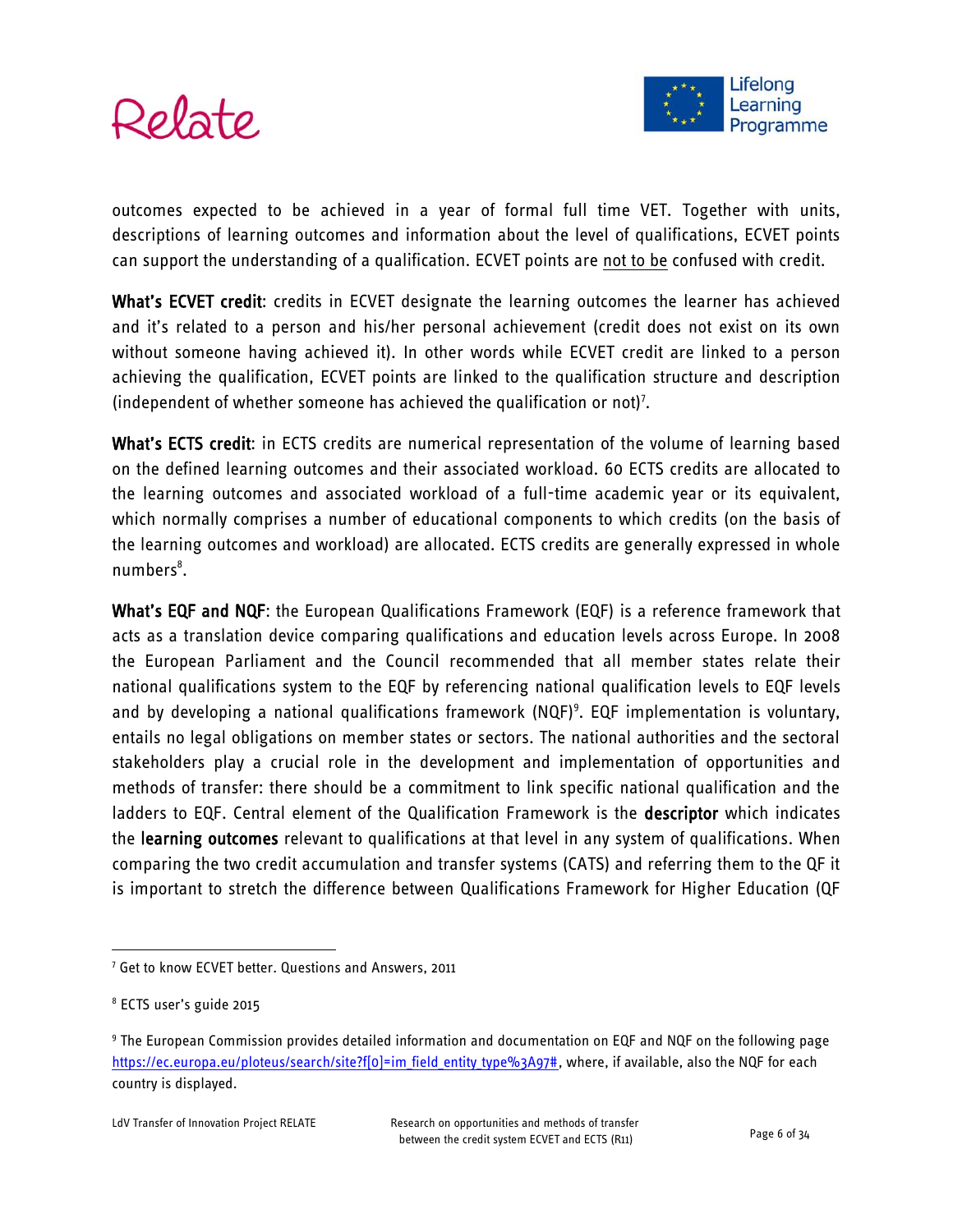

outcomes expected to be achieved in a year of formal full time VET. Together with units, descriptions of learning outcomes and information about the level of qualifications, ECVET points can support the understanding of a qualification. ECVET points are not to be confused with credit.

What's ECVET credit: credits in ECVET designate the learning outcomes the learner has achieved and it's related to a person and his/her personal achievement (credit does not exist on its own without someone having achieved it). In other words while ECVET credit are linked to a person achieving the qualification, ECVET points are linked to the qualification structure and description (independent of whether someone has achieved the qualification or not)<sup>7</sup>.

What's ECTS credit: in ECTS credits are numerical representation of the volume of learning based on the defined learning outcomes and their associated workload. 60 ECTS credits are allocated to the learning outcomes and associated workload of a full-time academic year or its equivalent, which normally comprises a number of educational components to which credits (on the basis of the learning outcomes and workload) are allocated. ECTS credits are generally expressed in whole numbers<sup>8</sup>.

What's EQF and NQF: the European Qualifications Framework (EQF) is a reference framework that acts as a translation device comparing qualifications and education levels across Europe. In 2008 the European Parliament and the Council recommended that all member states relate their national qualifications system to the EQF by referencing national qualification levels to EQF levels and by developing a national qualifications framework (NQF)<sup>9</sup>. EQF implementation is voluntary, entails no legal obligations on member states or sectors. The national authorities and the sectoral stakeholders play a crucial role in the development and implementation of opportunities and methods of transfer: there should be a commitment to link specific national qualification and the ladders to EQF. Central element of the Qualification Framework is the descriptor which indicates the learning outcomes relevant to qualifications at that level in any system of qualifications. When comparing the two credit accumulation and transfer systems (CATS) and referring them to the QF it is important to stretch the difference between Qualifications Framework for Higher Education (QF

<sup>7</sup> Get to know ECVET better. Questions and Answers, 2011

<sup>8</sup> ECTS user's guide 2015

<sup>9</sup> The European Commission provides detailed information and documentation on EQF and NQF on the following page [https://ec.europa.eu/ploteus/search/site?f\[0\]=im\\_field\\_entity\\_type%3A97#,](https://ec.europa.eu/ploteus/search/site?f%5b0%5d=im_field_entity_type%3A97) where, if available, also the NQF for each country is displayed.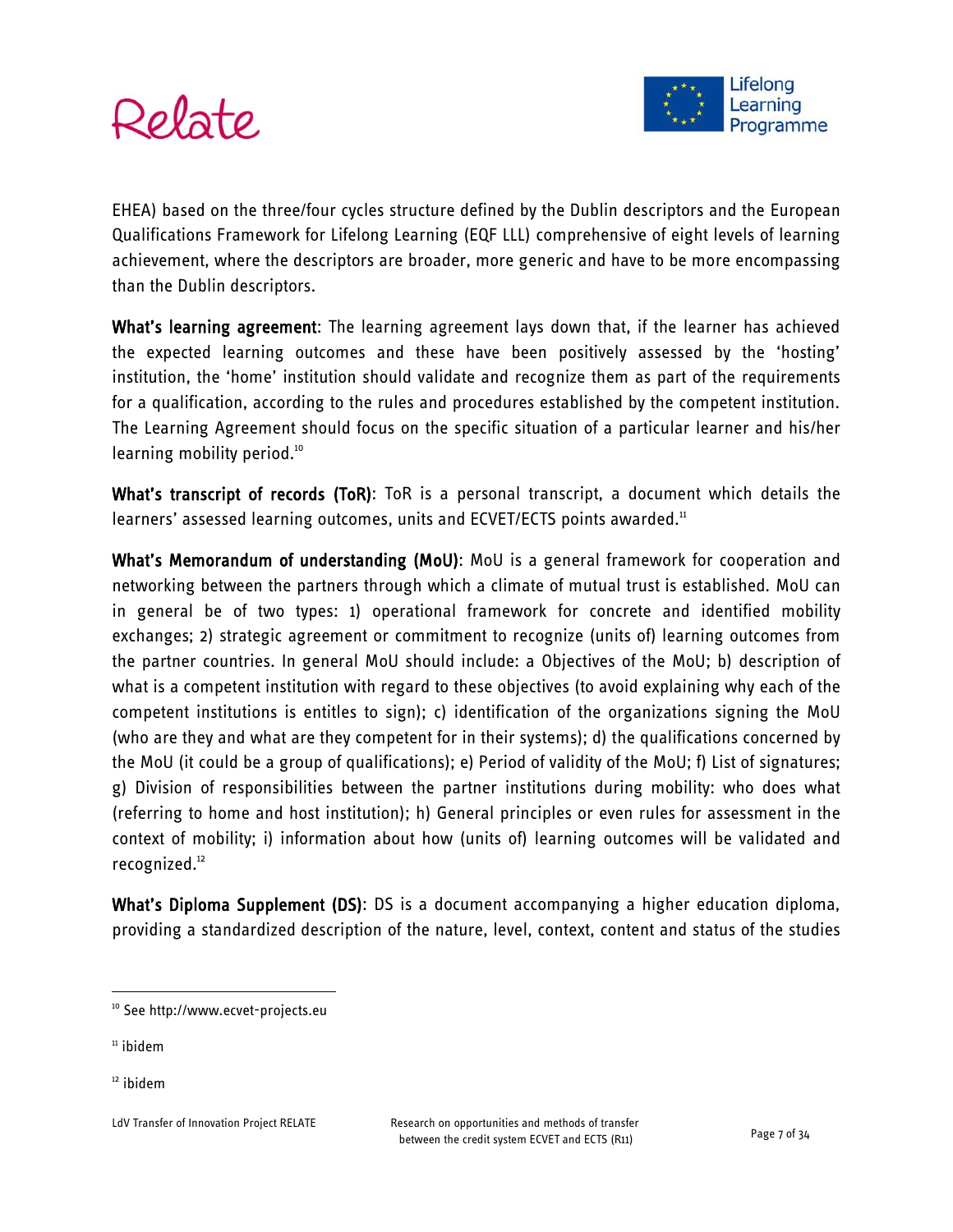



EHEA) based on the three/four cycles structure defined by the Dublin descriptors and the European Qualifications Framework for Lifelong Learning (EQF LLL) comprehensive of eight levels of learning achievement, where the descriptors are broader, more generic and have to be more encompassing than the Dublin descriptors.

What's learning agreement: The learning agreement lays down that, if the learner has achieved the expected learning outcomes and these have been positively assessed by the 'hosting' institution, the 'home' institution should validate and recognize them as part of the requirements for a qualification, according to the rules and procedures established by the competent institution. The Learning Agreement should focus on the specific situation of a particular learner and his/her learning mobility period.<sup>10</sup>

What's transcript of records (ToR): ToR is a personal transcript, a document which details the learners' assessed learning outcomes, units and ECVET/ECTS points awarded.<sup>11</sup>

What's Memorandum of understanding (MoU): MoU is a general framework for cooperation and networking between the partners through which a climate of mutual trust is established. MoU can in general be of two types: 1) operational framework for concrete and identified mobility exchanges; 2) strategic agreement or commitment to recognize (units of) learning outcomes from the partner countries. In general MoU should include: a Objectives of the MoU; b) description of what is a competent institution with regard to these objectives (to avoid explaining why each of the competent institutions is entitles to sign); c) identification of the organizations signing the MoU (who are they and what are they competent for in their systems); d) the qualifications concerned by the MoU (it could be a group of qualifications); e) Period of validity of the MoU; f) List of signatures; g) Division of responsibilities between the partner institutions during mobility: who does what (referring to home and host institution); h) General principles or even rules for assessment in the context of mobility; i) information about how (units of) learning outcomes will be validated and recognized.<sup>12</sup>

What's Diploma Supplement (DS): DS is a document accompanying a higher education diploma, providing a standardized description of the nature, level, context, content and status of the studies

 $11$  ibidem

<sup>&</sup>lt;sup>10</sup> See http://www.ecvet-projects.eu

<sup>&</sup>lt;sup>12</sup> ibidem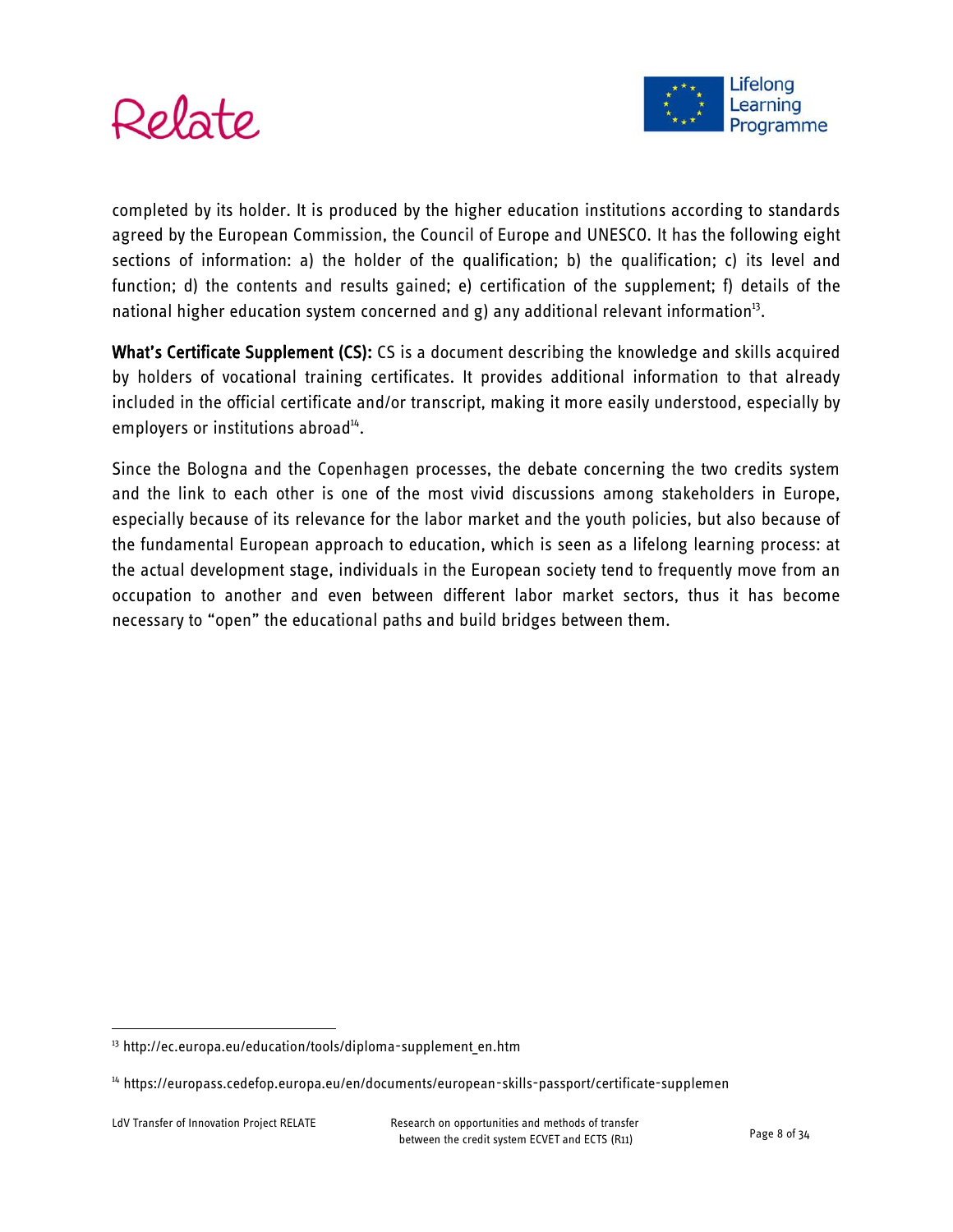



completed by its holder. It is produced by the higher education institutions according to standards agreed by the European Commission, the Council of Europe and UNESCO. It has the following eight sections of information: a) the holder of the qualification; b) the qualification; c) its level and function; d) the contents and results gained; e) certification of the supplement; f) details of the national higher education system concerned and g) any additional relevant information<sup>13</sup>.

What's Certificate Supplement (CS): CS is a document describing the knowledge and skills acquired by holders of vocational training certificates. It provides additional information to that already included in the official certificate and/or transcript, making it more easily understood, especially by employers or institutions abroad<sup>14</sup>.

Since the Bologna and the Copenhagen processes, the debate concerning the two credits system and the link to each other is one of the most vivid discussions among stakeholders in Europe, especially because of its relevance for the labor market and the youth policies, but also because of the fundamental European approach to education, which is seen as a lifelong learning process: at the actual development stage, individuals in the European society tend to frequently move from an occupation to another and even between different labor market sectors, thus it has become necessary to "open" the educational paths and build bridges between them.

<sup>&</sup>lt;sup>13</sup> http://ec.europa.eu/education/tools/diploma-supplement en.htm

<sup>14</sup> https://europass.cedefop.europa.eu/en/documents/european-skills-passport/certificate-supplemen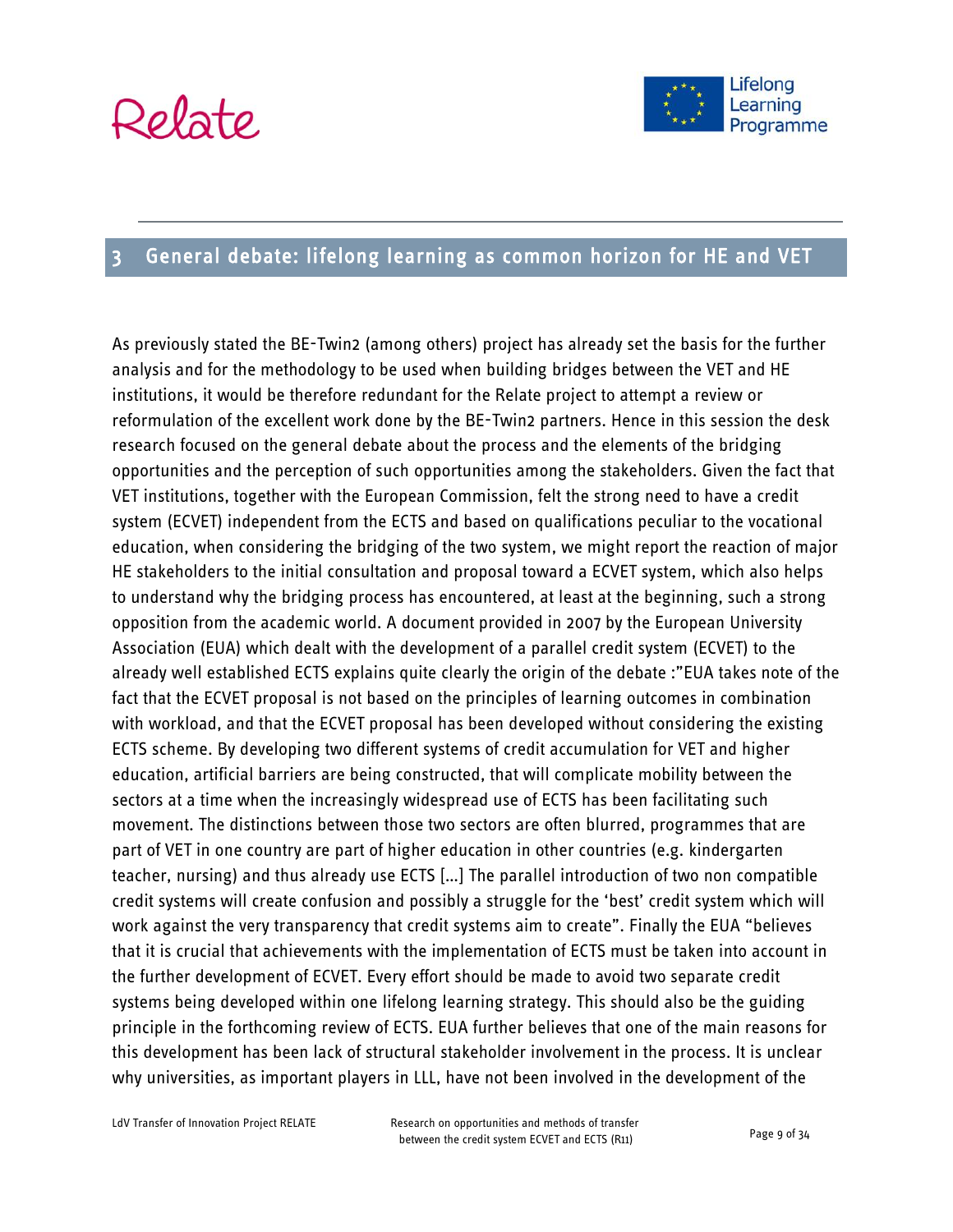

# <span id="page-8-0"></span>3 General debate: lifelong learning as common horizon for HE and VET

As previously stated the BE-Twin2 (among others) project has already set the basis for the further analysis and for the methodology to be used when building bridges between the VET and HE institutions, it would be therefore redundant for the Relate project to attempt a review or reformulation of the excellent work done by the BE-Twin2 partners. Hence in this session the desk research focused on the general debate about the process and the elements of the bridging opportunities and the perception of such opportunities among the stakeholders. Given the fact that VET institutions, together with the European Commission, felt the strong need to have a credit system (ECVET) independent from the ECTS and based on qualifications peculiar to the vocational education, when considering the bridging of the two system, we might report the reaction of major HE stakeholders to the initial consultation and proposal toward a ECVET system, which also helps to understand why the bridging process has encountered, at least at the beginning, such a strong opposition from the academic world. A document provided in 2007 by the European University Association (EUA) which dealt with the development of a parallel credit system (ECVET) to the already well established ECTS explains quite clearly the origin of the debate :"EUA takes note of the fact that the ECVET proposal is not based on the principles of learning outcomes in combination with workload, and that the ECVET proposal has been developed without considering the existing ECTS scheme. By developing two different systems of credit accumulation for VET and higher education, artificial barriers are being constructed, that will complicate mobility between the sectors at a time when the increasingly widespread use of ECTS has been facilitating such movement. The distinctions between those two sectors are often blurred, programmes that are part of VET in one country are part of higher education in other countries (e.g. kindergarten teacher, nursing) and thus already use ECTS […] The parallel introduction of two non compatible credit systems will create confusion and possibly a struggle for the 'best' credit system which will work against the very transparency that credit systems aim to create". Finally the EUA "believes that it is crucial that achievements with the implementation of ECTS must be taken into account in the further development of ECVET. Every effort should be made to avoid two separate credit systems being developed within one lifelong learning strategy. This should also be the guiding principle in the forthcoming review of ECTS. EUA further believes that one of the main reasons for this development has been lack of structural stakeholder involvement in the process. It is unclear why universities, as important players in LLL, have not been involved in the development of the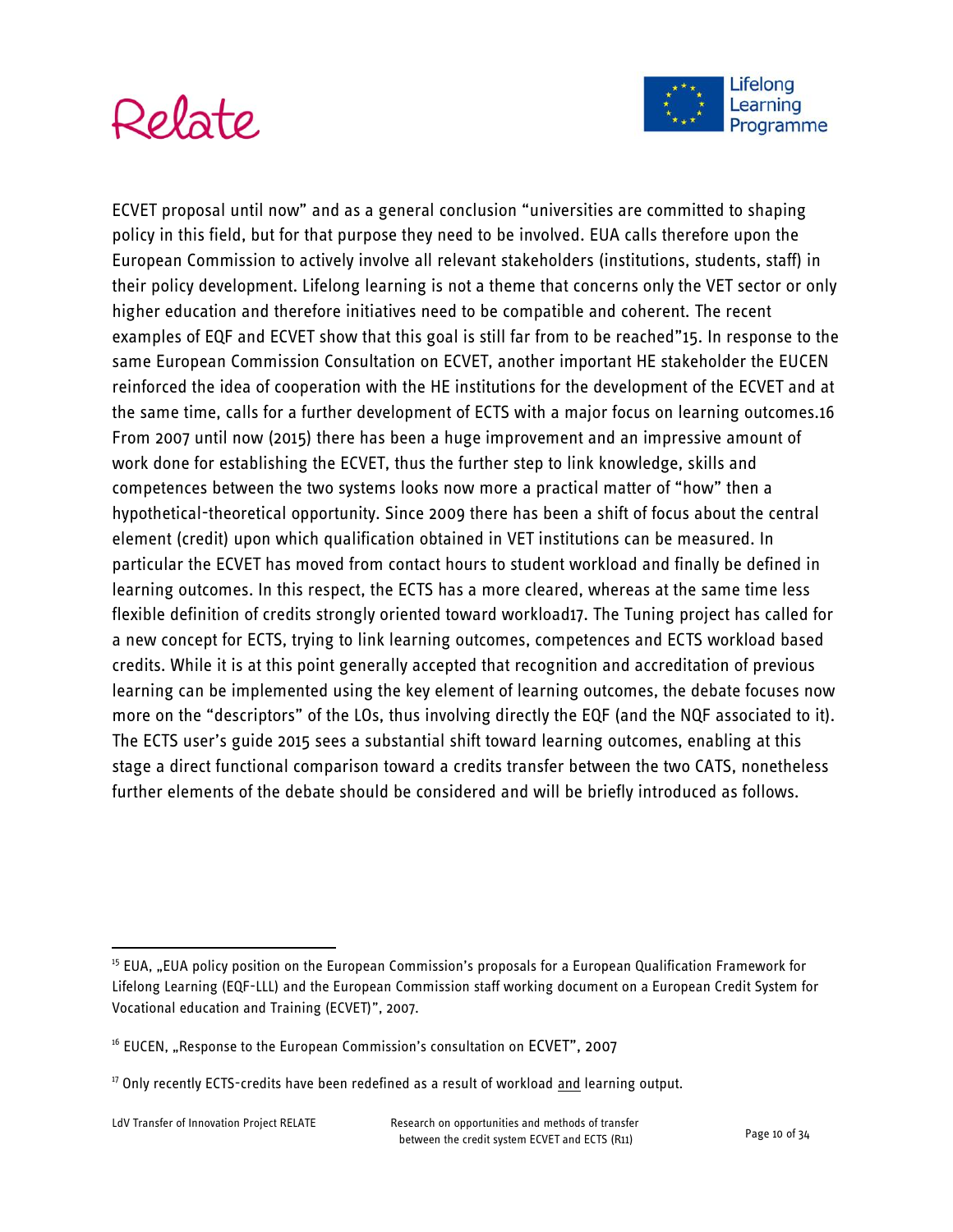



ECVET proposal until now" and as a general conclusion "universities are committed to shaping policy in this field, but for that purpose they need to be involved. EUA calls therefore upon the European Commission to actively involve all relevant stakeholders (institutions, students, staff) in their policy development. Lifelong learning is not a theme that concerns only the VET sector or only higher education and therefore initiatives need to be compatible and coherent. The recent examples of EQF and ECVET show that this goal is still far from to be reached"15. In response to the same European Commission Consultation on ECVET, another important HE stakeholder the EUCEN reinforced the idea of cooperation with the HE institutions for the development of the ECVET and at the same time, calls for a further development of ECTS with a major focus on learning outcomes.16 From 2007 until now (2015) there has been a huge improvement and an impressive amount of work done for establishing the ECVET, thus the further step to link knowledge, skills and competences between the two systems looks now more a practical matter of "how" then a hypothetical-theoretical opportunity. Since 2009 there has been a shift of focus about the central element (credit) upon which qualification obtained in VET institutions can be measured. In particular the ECVET has moved from contact hours to student workload and finally be defined in learning outcomes. In this respect, the ECTS has a more cleared, whereas at the same time less flexible definition of credits strongly oriented toward workload17. The Tuning project has called for a new concept for ECTS, trying to link learning outcomes, competences and ECTS workload based credits. While it is at this point generally accepted that recognition and accreditation of previous learning can be implemented using the key element of learning outcomes, the debate focuses now more on the "descriptors" of the LOs, thus involving directly the EQF (and the NQF associated to it). The ECTS user's guide 2015 sees a substantial shift toward learning outcomes, enabling at this stage a direct functional comparison toward a credits transfer between the two CATS, nonetheless further elements of the debate should be considered and will be briefly introduced as follows.

<sup>&</sup>lt;sup>15</sup> EUA, "EUA policy position on the European Commission's proposals for a European Qualification Framework for Lifelong Learning (EQF-LLL) and the European Commission staff working document on a European Credit System for Vocational education and Training (ECVET)", 2007.

<sup>&</sup>lt;sup>16</sup> EUCEN, "Response to the European Commission's consultation on ECVET", 2007

<sup>&</sup>lt;sup>17</sup> Only recently ECTS-credits have been redefined as a result of workload and learning output.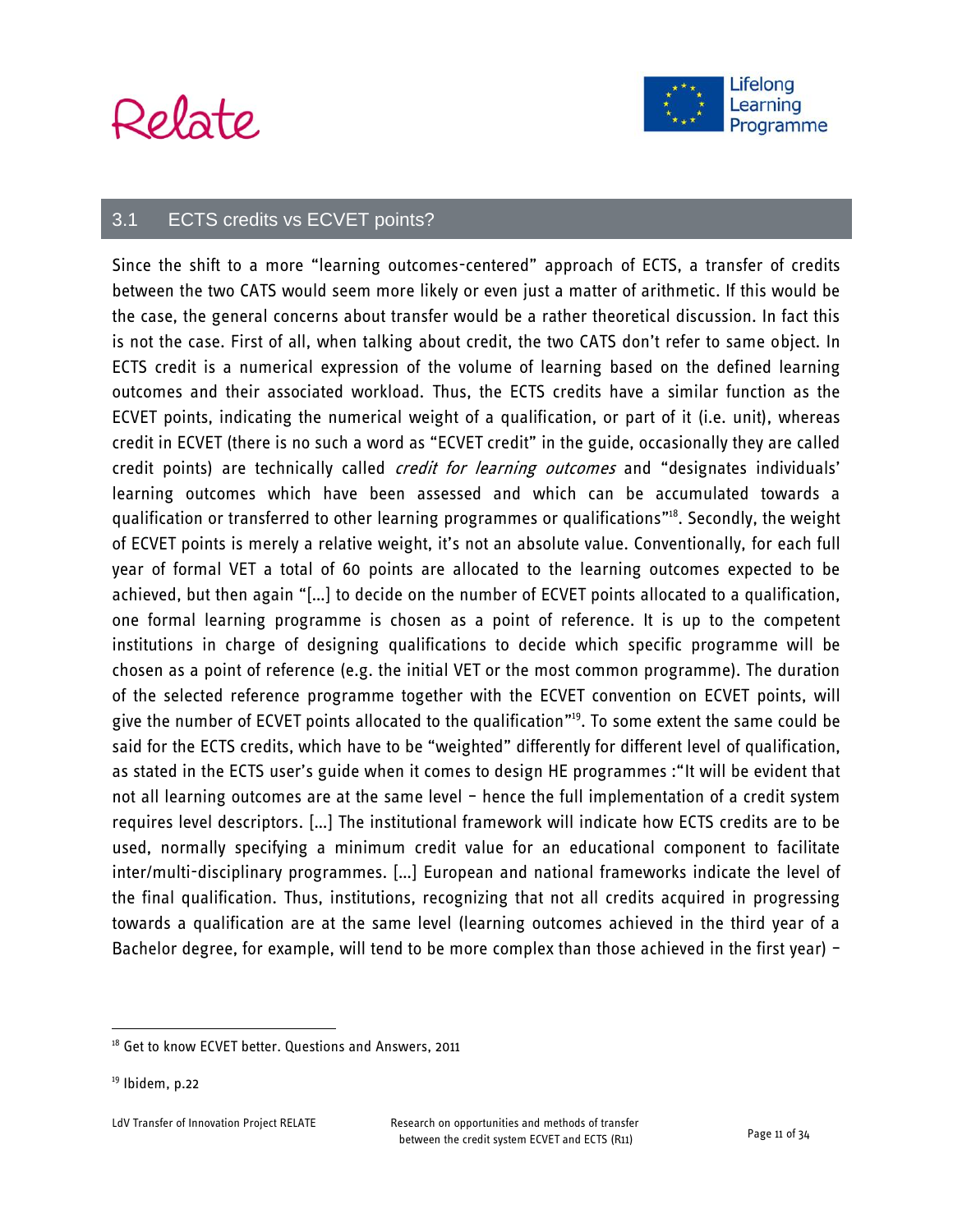# Relate



#### 3.1 ECTS credits vs ECVET points?

Since the shift to a more "learning outcomes-centered" approach of ECTS, a transfer of credits between the two CATS would seem more likely or even just a matter of arithmetic. If this would be the case, the general concerns about transfer would be a rather theoretical discussion. In fact this is not the case. First of all, when talking about credit, the two CATS don't refer to same object. In ECTS credit is a numerical expression of the volume of learning based on the defined learning outcomes and their associated workload. Thus, the ECTS credits have a similar function as the ECVET points, indicating the numerical weight of a qualification, or part of it (i.e. unit), whereas credit in ECVET (there is no such a word as "ECVET credit" in the guide, occasionally they are called credit points) are technically called *credit for learning outcomes* and "designates individuals' learning outcomes which have been assessed and which can be accumulated towards a qualification or transferred to other learning programmes or qualifications" 18 . Secondly, the weight of ECVET points is merely a relative weight, it's not an absolute value. Conventionally, for each full year of formal VET a total of 60 points are allocated to the learning outcomes expected to be achieved, but then again "[…] to decide on the number of ECVET points allocated to a qualification, one formal learning programme is chosen as a point of reference. It is up to the competent institutions in charge of designing qualifications to decide which specific programme will be chosen as a point of reference (e.g. the initial VET or the most common programme). The duration of the selected reference programme together with the ECVET convention on ECVET points, will give the number of ECVET points allocated to the qualification" <sup>19</sup>. To some extent the same could be said for the ECTS credits, which have to be "weighted" differently for different level of qualification, as stated in the ECTS user's guide when it comes to design HE programmes :"It will be evident that not all learning outcomes are at the same level – hence the full implementation of a credit system requires level descriptors. […] The institutional framework will indicate how ECTS credits are to be used, normally specifying a minimum credit value for an educational component to facilitate inter/multi-disciplinary programmes. […] European and national frameworks indicate the level of the final qualification. Thus, institutions, recognizing that not all credits acquired in progressing towards a qualification are at the same level (learning outcomes achieved in the third year of a Bachelor degree, for example, will tend to be more complex than those achieved in the first year) -

<sup>&</sup>lt;sup>18</sup> Get to know ECVET better. Questions and Answers, 2011

 $19$  Ibidem, p.22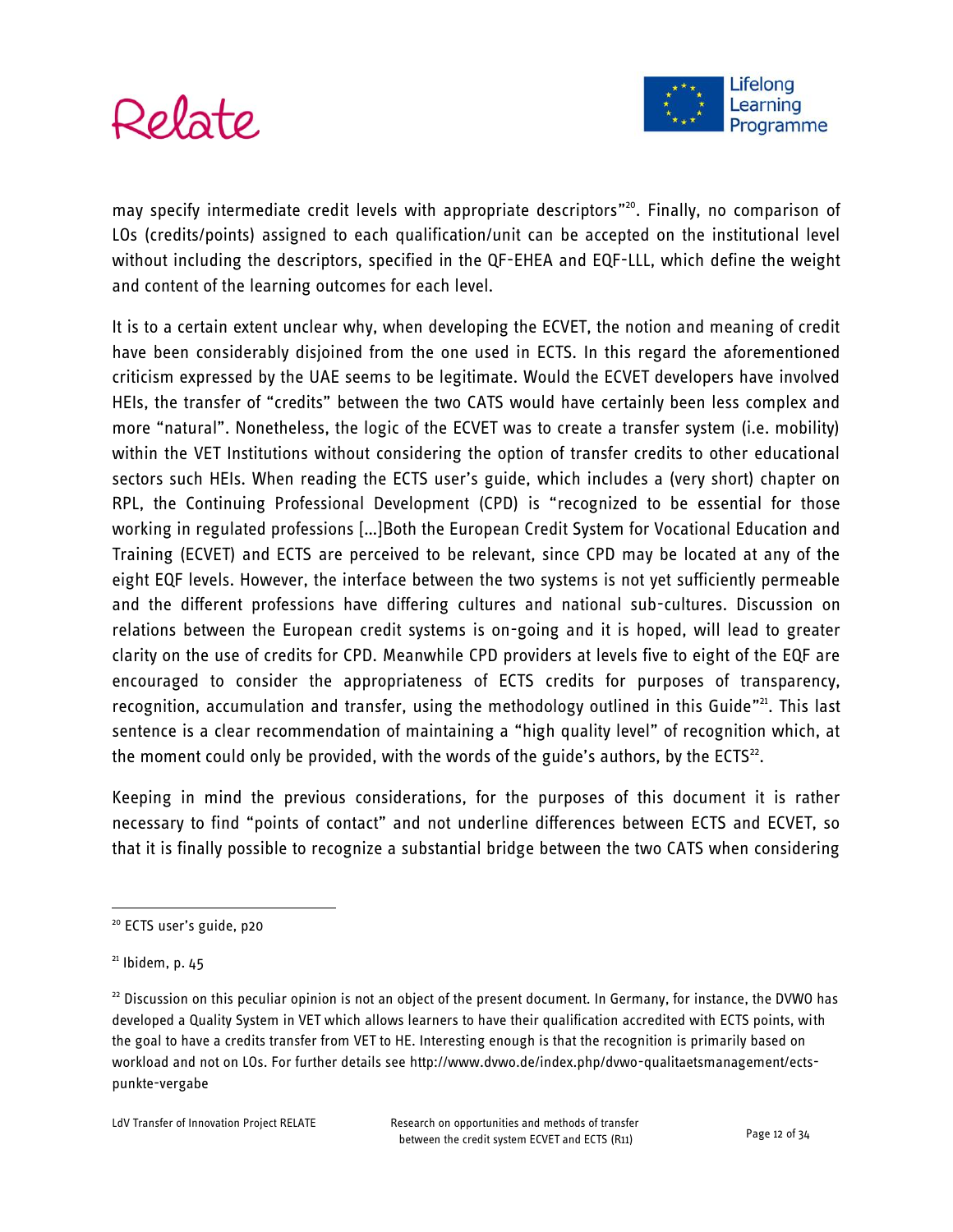



may specify intermediate credit levels with appropriate descriptors"<sup>20</sup>. Finally, no comparison of LOs (credits/points) assigned to each qualification/unit can be accepted on the institutional level without including the descriptors, specified in the QF-EHEA and EQF-LLL, which define the weight and content of the learning outcomes for each level.

It is to a certain extent unclear why, when developing the ECVET, the notion and meaning of credit have been considerably disjoined from the one used in ECTS. In this regard the aforementioned criticism expressed by the UAE seems to be legitimate. Would the ECVET developers have involved HEIs, the transfer of "credits" between the two CATS would have certainly been less complex and more "natural". Nonetheless, the logic of the ECVET was to create a transfer system (i.e. mobility) within the VET Institutions without considering the option of transfer credits to other educational sectors such HEIs. When reading the ECTS user's guide, which includes a (very short) chapter on RPL, the Continuing Professional Development (CPD) is "recognized to be essential for those working in regulated professions [...] Both the European Credit System for Vocational Education and Training (ECVET) and ECTS are perceived to be relevant, since CPD may be located at any of the eight EQF levels. However, the interface between the two systems is not yet sufficiently permeable and the different professions have differing cultures and national sub-cultures. Discussion on relations between the European credit systems is on-going and it is hoped, will lead to greater clarity on the use of credits for CPD. Meanwhile CPD providers at levels five to eight of the EQF are encouraged to consider the appropriateness of ECTS credits for purposes of transparency, recognition, accumulation and transfer, using the methodology outlined in this Guide"<sup>21</sup>. This last sentence is a clear recommendation of maintaining a "high quality level" of recognition which, at the moment could only be provided, with the words of the guide's authors, by the ECTS $^{22}$ .

Keeping in mind the previous considerations, for the purposes of this document it is rather necessary to find "points of contact" and not underline differences between ECTS and ECVET, so that it is finally possible to recognize a substantial bridge between the two CATS when considering

<sup>&</sup>lt;sup>20</sup> ECTS user's guide, p20

 $21$  Ibidem, p. 45

 $22$  Discussion on this peculiar opinion is not an object of the present document. In Germany, for instance, the DVWO has developed a Quality System in VET which allows learners to have their qualification accredited with ECTS points, with the goal to have a credits transfer from VET to HE. Interesting enough is that the recognition is primarily based on workload and not on LOs. For further details see http://www.dvwo.de/index.php/dvwo-qualitaetsmanagement/ectspunkte-vergabe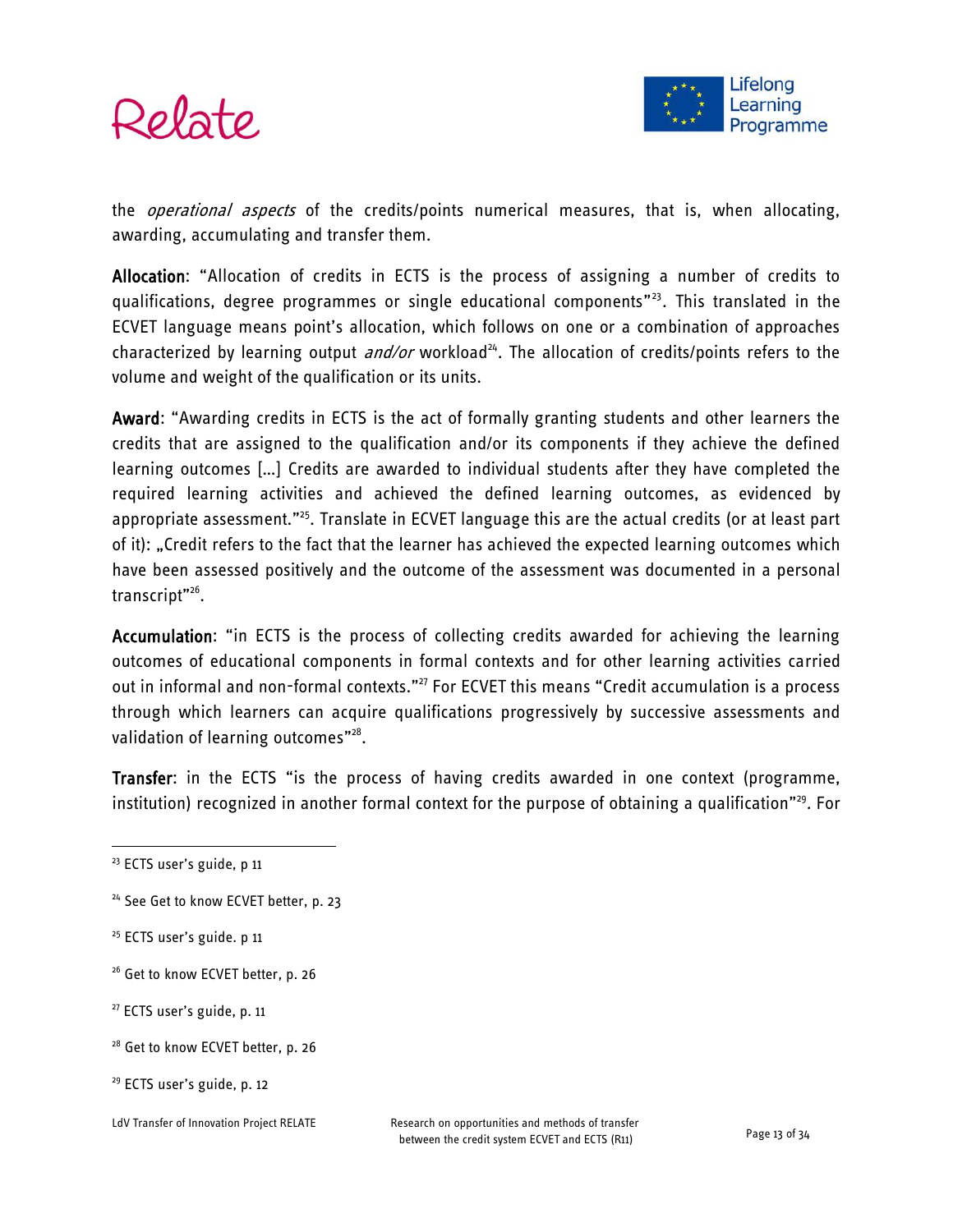



the *operational aspects* of the credits/points numerical measures, that is, when allocating, awarding, accumulating and transfer them.

Allocation: "Allocation of credits in ECTS is the process of assigning a number of credits to qualifications, degree programmes or single educational components" 23 . This translated in the ECVET language means point's allocation, which follows on one or a combination of approaches characterized by learning output *and/or* workload<sup>24</sup>. The allocation of credits/points refers to the volume and weight of the qualification or its units.

Award: "Awarding credits in ECTS is the act of formally granting students and other learners the credits that are assigned to the qualification and/or its components if they achieve the defined learning outcomes […] Credits are awarded to individual students after they have completed the required learning activities and achieved the defined learning outcomes, as evidenced by appropriate assessment."<sup>25</sup>. Translate in ECVET language this are the actual credits (or at least part of it): "Credit refers to the fact that the learner has achieved the expected learning outcomes which have been assessed positively and the outcome of the assessment was documented in a personal transcript"<sup>26</sup>.

Accumulation: "in ECTS is the process of collecting credits awarded for achieving the learning outcomes of educational components in formal contexts and for other learning activities carried out in informal and non-formal contexts."<sup>27</sup> For ECVET this means "Credit accumulation is a process through which learners can acquire qualifications progressively by successive assessments and validation of learning outcomes"<sup>28</sup>.

Transfer: in the ECTS "is the process of having credits awarded in one context (programme, institution) recognized in another formal context for the purpose of obtaining a qualification"<sup>29</sup>. For

- <sup>25</sup> ECTS user's guide. p 11
- <sup>26</sup> Get to know ECVET better, p. 26
- <sup>27</sup> ECTS user's guide, p. 11
- <sup>28</sup> Get to know ECVET better, p. 26
- <sup>29</sup> ECTS user's guide, p. 12

<sup>&</sup>lt;sup>23</sup> ECTS user's guide, p 11

<sup>&</sup>lt;sup>24</sup> See Get to know ECVET better, p. 23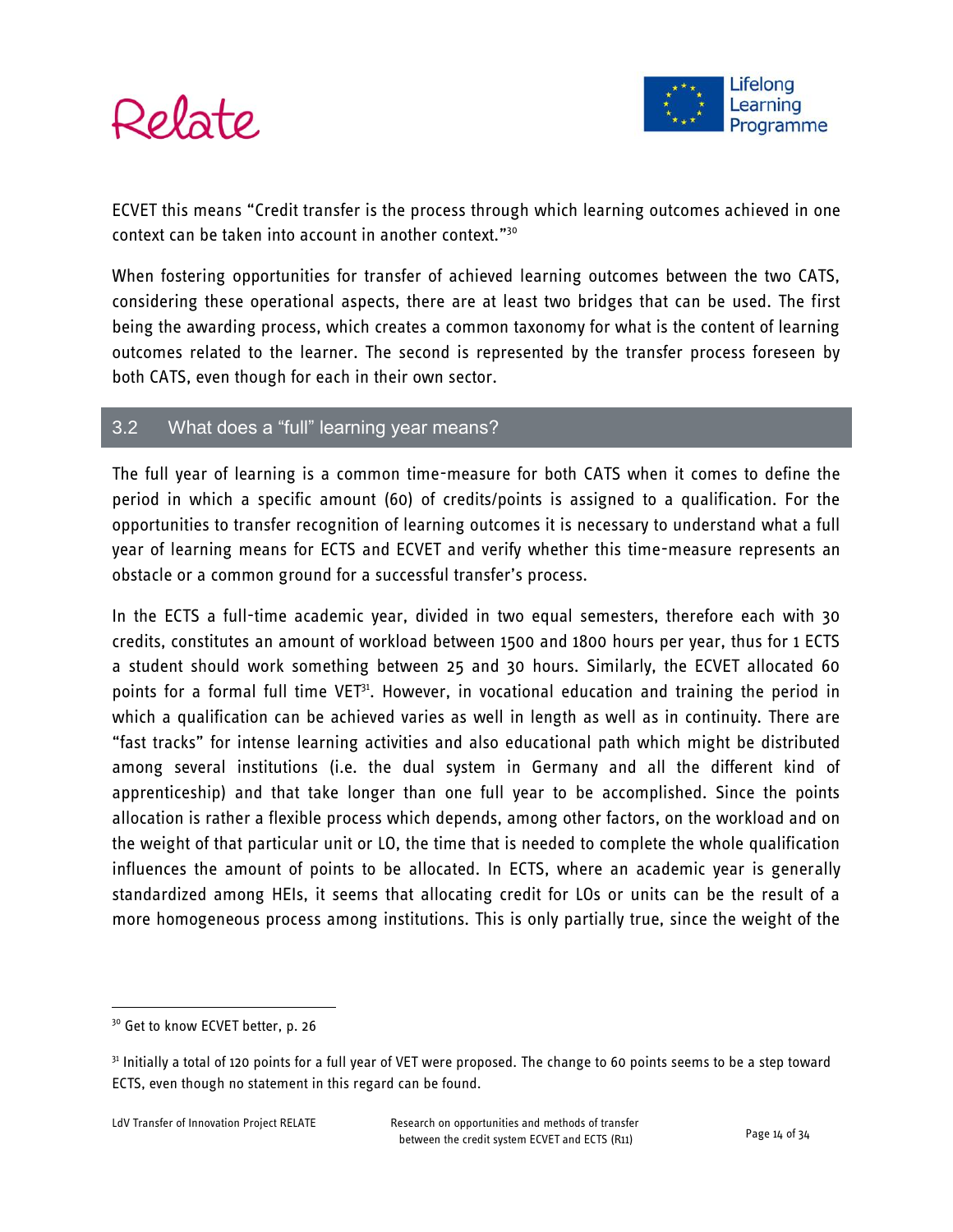



ECVET this means "Credit transfer is the process through which learning outcomes achieved in one context can be taken into account in another context."<sup>30</sup>

When fostering opportunities for transfer of achieved learning outcomes between the two CATS, considering these operational aspects, there are at least two bridges that can be used. The first being the awarding process, which creates a common taxonomy for what is the content of learning outcomes related to the learner. The second is represented by the transfer process foreseen by both CATS, even though for each in their own sector.

#### 3.2 What does a "full" learning year means?

The full year of learning is a common time-measure for both CATS when it comes to define the period in which a specific amount (60) of credits/points is assigned to a qualification. For the opportunities to transfer recognition of learning outcomes it is necessary to understand what a full year of learning means for ECTS and ECVET and verify whether this time-measure represents an obstacle or a common ground for a successful transfer's process.

In the ECTS a full-time academic year, divided in two equal semesters, therefore each with 30 credits, constitutes an amount of workload between 1500 and 1800 hours per year, thus for 1 ECTS a student should work something between 25 and 30 hours. Similarly, the ECVET allocated 60 points for a formal full time  $VET<sup>31</sup>$ . However, in vocational education and training the period in which a qualification can be achieved varies as well in length as well as in continuity. There are "fast tracks" for intense learning activities and also educational path which might be distributed among several institutions (i.e. the dual system in Germany and all the different kind of apprenticeship) and that take longer than one full year to be accomplished. Since the points allocation is rather a flexible process which depends, among other factors, on the workload and on the weight of that particular unit or LO, the time that is needed to complete the whole qualification influences the amount of points to be allocated. In ECTS, where an academic year is generally standardized among HEIs, it seems that allocating credit for LOs or units can be the result of a more homogeneous process among institutions. This is only partially true, since the weight of the

<sup>&</sup>lt;sup>30</sup> Get to know ECVET better, p. 26

 $31$  Initially a total of 120 points for a full year of VET were proposed. The change to 60 points seems to be a step toward ECTS, even though no statement in this regard can be found.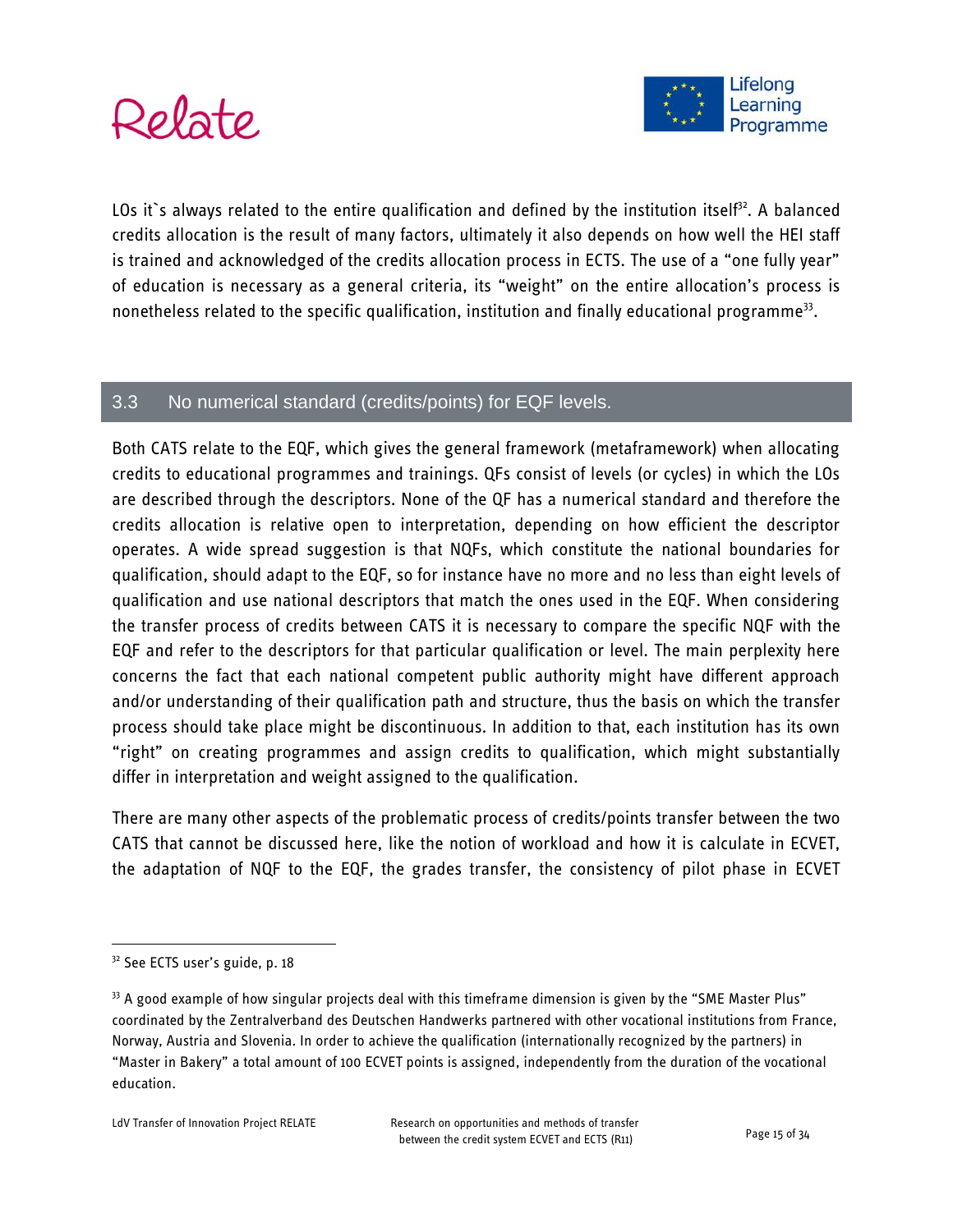



LOs it's always related to the entire qualification and defined by the institution itself<sup>32</sup>. A balanced credits allocation is the result of many factors, ultimately it also depends on how well the HEI staff is trained and acknowledged of the credits allocation process in ECTS. The use of a "one fully year" of education is necessary as a general criteria, its "weight" on the entire allocation's process is nonetheless related to the specific qualification, institution and finally educational programme<sup>33</sup>.

#### 3.3 No numerical standard (credits/points) for EQF levels.

Both CATS relate to the EQF, which gives the general framework (metaframework) when allocating credits to educational programmes and trainings. QFs consist of levels (or cycles) in which the LOs are described through the descriptors. None of the QF has a numerical standard and therefore the credits allocation is relative open to interpretation, depending on how efficient the descriptor operates. A wide spread suggestion is that NQFs, which constitute the national boundaries for qualification, should adapt to the EQF, so for instance have no more and no less than eight levels of qualification and use national descriptors that match the ones used in the EQF. When considering the transfer process of credits between CATS it is necessary to compare the specific NQF with the EQF and refer to the descriptors for that particular qualification or level. The main perplexity here concerns the fact that each national competent public authority might have different approach and/or understanding of their qualification path and structure, thus the basis on which the transfer process should take place might be discontinuous. In addition to that, each institution has its own "right" on creating programmes and assign credits to qualification, which might substantially differ in interpretation and weight assigned to the qualification.

There are many other aspects of the problematic process of credits/points transfer between the two CATS that cannot be discussed here, like the notion of workload and how it is calculate in ECVET, the adaptation of NQF to the EQF, the grades transfer, the consistency of pilot phase in ECVET

<sup>&</sup>lt;sup>32</sup> See ECTS user's guide, p. 18

<sup>&</sup>lt;sup>33</sup> A good example of how singular projects deal with this timeframe dimension is given by the "SME Master Plus" coordinated by the Zentralverband des Deutschen Handwerks partnered with other vocational institutions from France, Norway, Austria and Slovenia. In order to achieve the qualification (internationally recognized by the partners) in "Master in Bakery" a total amount of 100 ECVET points is assigned, independently from the duration of the vocational education.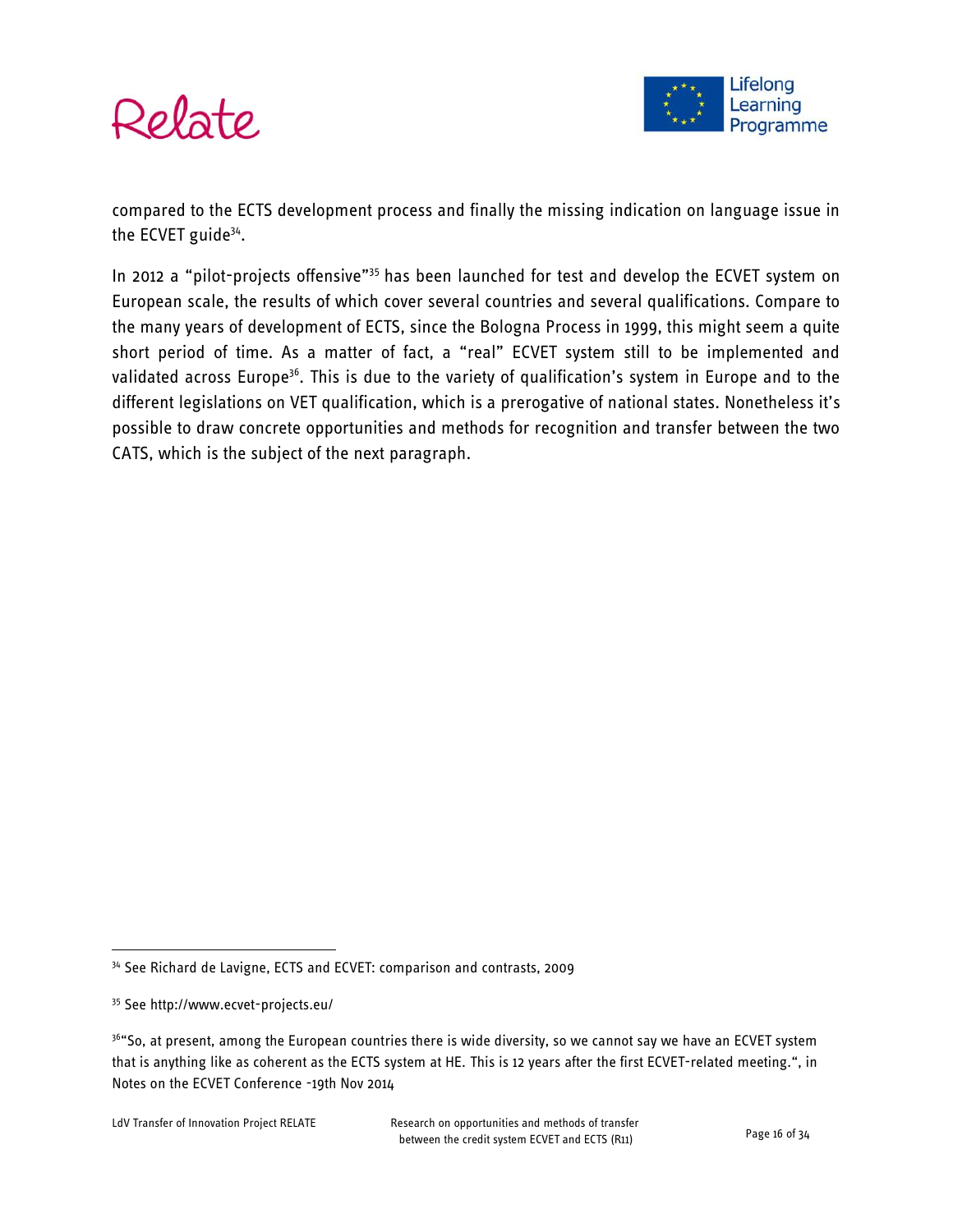



compared to the ECTS development process and finally the missing indication on language issue in the ECVET guide<sup>34</sup>.

In 2012 a "pilot-projects offensive"<sup>35</sup> has been launched for test and develop the ECVET system on European scale, the results of which cover several countries and several qualifications. Compare to the many years of development of ECTS, since the Bologna Process in 1999, this might seem a quite short period of time. As a matter of fact, a "real" ECVET system still to be implemented and validated across Europe<sup>36</sup>. This is due to the variety of qualification's system in Europe and to the different legislations on VET qualification, which is a prerogative of national states. Nonetheless it's possible to draw concrete opportunities and methods for recognition and transfer between the two CATS, which is the subject of the next paragraph.

<sup>&</sup>lt;sup>34</sup> See Richard de Lavigne, ECTS and ECVET: comparison and contrasts, 2009

<sup>35</sup> See http://www.ecvet-projects.eu/

<sup>&</sup>lt;sup>36</sup>"So, at present, among the European countries there is wide diversity, so we cannot say we have an ECVET system that is anything like as coherent as the ECTS system at HE. This is 12 years after the first ECVET-related meeting.", in Notes on the ECVET Conference -19th Nov 2014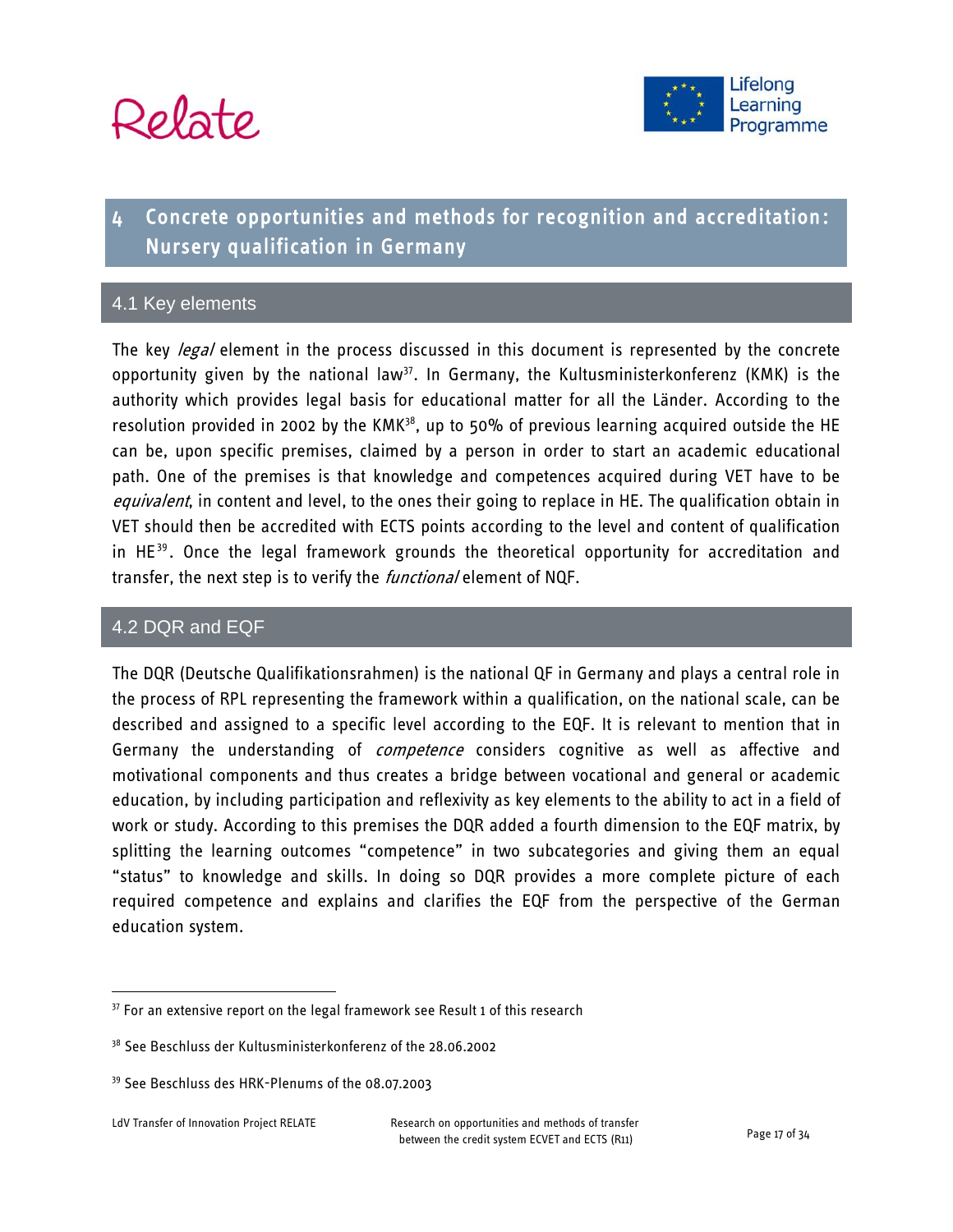



# 4 Concrete opportunities and methods for recognition and accreditation: Nursery qualification in Germany

#### 4.1 Key elements

The key *legal* element in the process discussed in this document is represented by the concrete opportunity given by the national law<sup>37</sup>. In Germany, the Kultusministerkonferenz (KMK) is the authority which provides legal basis for educational matter for all the Länder. According to the resolution provided in 2002 by the  $KMK<sup>38</sup>$ , up to 50% of previous learning acquired outside the HE can be, upon specific premises, claimed by a person in order to start an academic educational path. One of the premises is that knowledge and competences acquired during VET have to be equivalent, in content and level, to the ones their going to replace in HE. The qualification obtain in VET should then be accredited with ECTS points according to the level and content of qualification in  $HE^{39}$ . Once the legal framework grounds the theoretical opportunity for accreditation and transfer, the next step is to verify the *functional* element of NQF.

#### 4.2 DQR and EQF

The DQR (Deutsche Qualifikationsrahmen) is the national QF in Germany and plays a central role in the process of RPL representing the framework within a qualification, on the national scale, can be described and assigned to a specific level according to the EQF. It is relevant to mention that in Germany the understanding of *competence* considers cognitive as well as affective and motivational components and thus creates a bridge between vocational and general or academic education, by including participation and reflexivity as key elements to the ability to act in a field of work or study. According to this premises the DQR added a fourth dimension to the EQF matrix, by splitting the learning outcomes "competence" in two subcategories and giving them an equal "status" to knowledge and skills. In doing so DQR provides a more complete picture of each required competence and explains and clarifies the EQF from the perspective of the German education system.

 $37$  For an extensive report on the legal framework see Result 1 of this research

<sup>&</sup>lt;sup>38</sup> See Beschluss der Kultusministerkonferenz of the 28.06.2002

<sup>39</sup> See Beschluss des HRK-Plenums of the 08.07.2003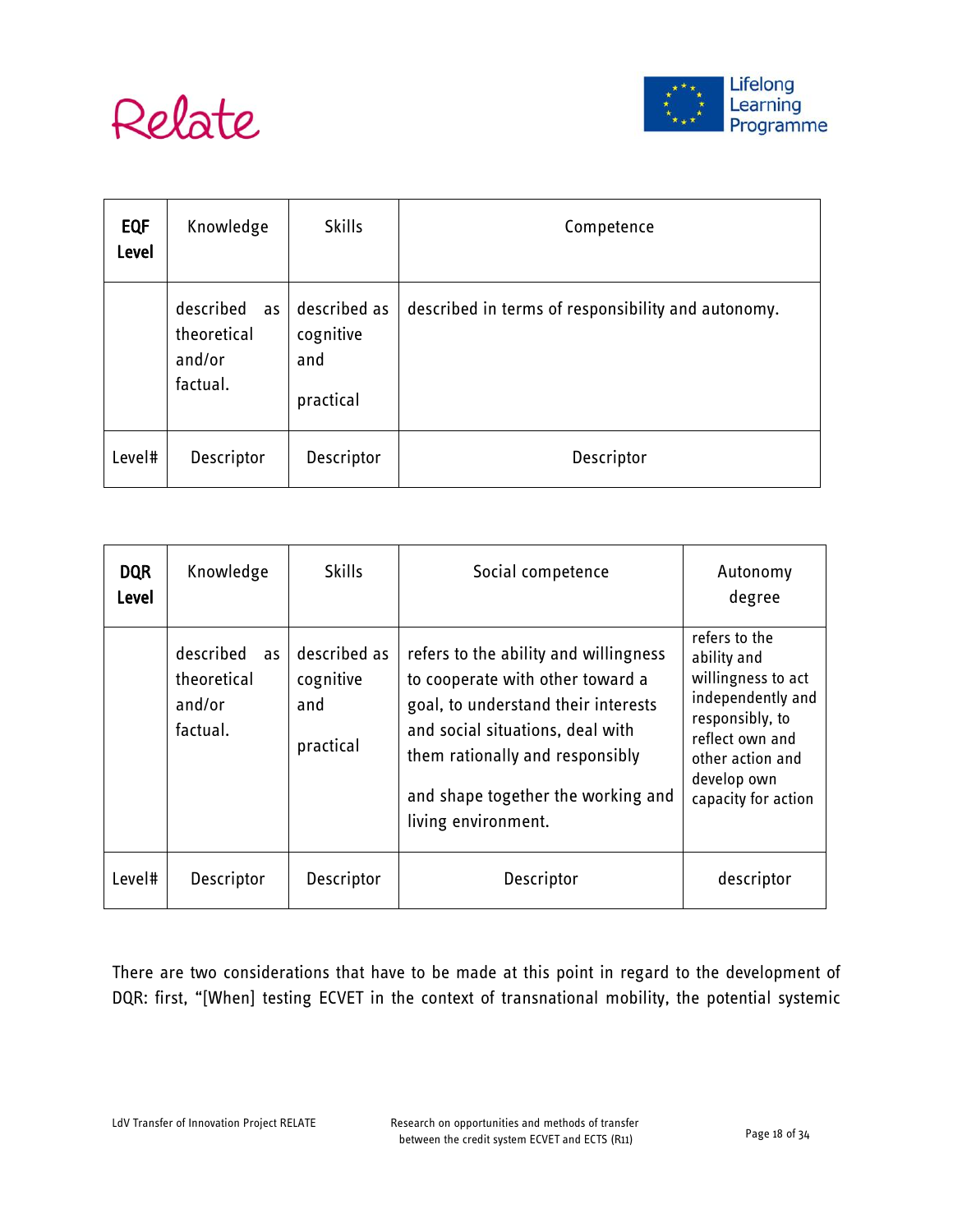



| <b>EQF</b><br>Level | Knowledge                                            | <b>Skills</b>                                 | Competence                                         |  |  |  |  |
|---------------------|------------------------------------------------------|-----------------------------------------------|----------------------------------------------------|--|--|--|--|
|                     | described<br>as<br>theoretical<br>and/or<br>factual. | described as<br>cognitive<br>and<br>practical | described in terms of responsibility and autonomy. |  |  |  |  |
| Level#              | Descriptor                                           | Descriptor                                    | Descriptor                                         |  |  |  |  |

| <b>DQR</b><br>Level | Knowledge                                            | <b>Skills</b>                                 | Social competence                                                                                                                                                                                                                                    | Autonomy<br>degree                                                                                                                                                      |  |
|---------------------|------------------------------------------------------|-----------------------------------------------|------------------------------------------------------------------------------------------------------------------------------------------------------------------------------------------------------------------------------------------------------|-------------------------------------------------------------------------------------------------------------------------------------------------------------------------|--|
|                     | described<br>as<br>theoretical<br>and/or<br>factual. | described as<br>cognitive<br>and<br>practical | refers to the ability and willingness<br>to cooperate with other toward a<br>goal, to understand their interests<br>and social situations, deal with<br>them rationally and responsibly<br>and shape together the working and<br>living environment. | refers to the<br>ability and<br>willingness to act<br>independently and<br>responsibly, to<br>reflect own and<br>other action and<br>develop own<br>capacity for action |  |
| Level#              | Descriptor                                           | Descriptor                                    | Descriptor                                                                                                                                                                                                                                           | descriptor                                                                                                                                                              |  |

There are two considerations that have to be made at this point in regard to the development of DQR: first, "[When] testing ECVET in the context of transnational mobility, the potential systemic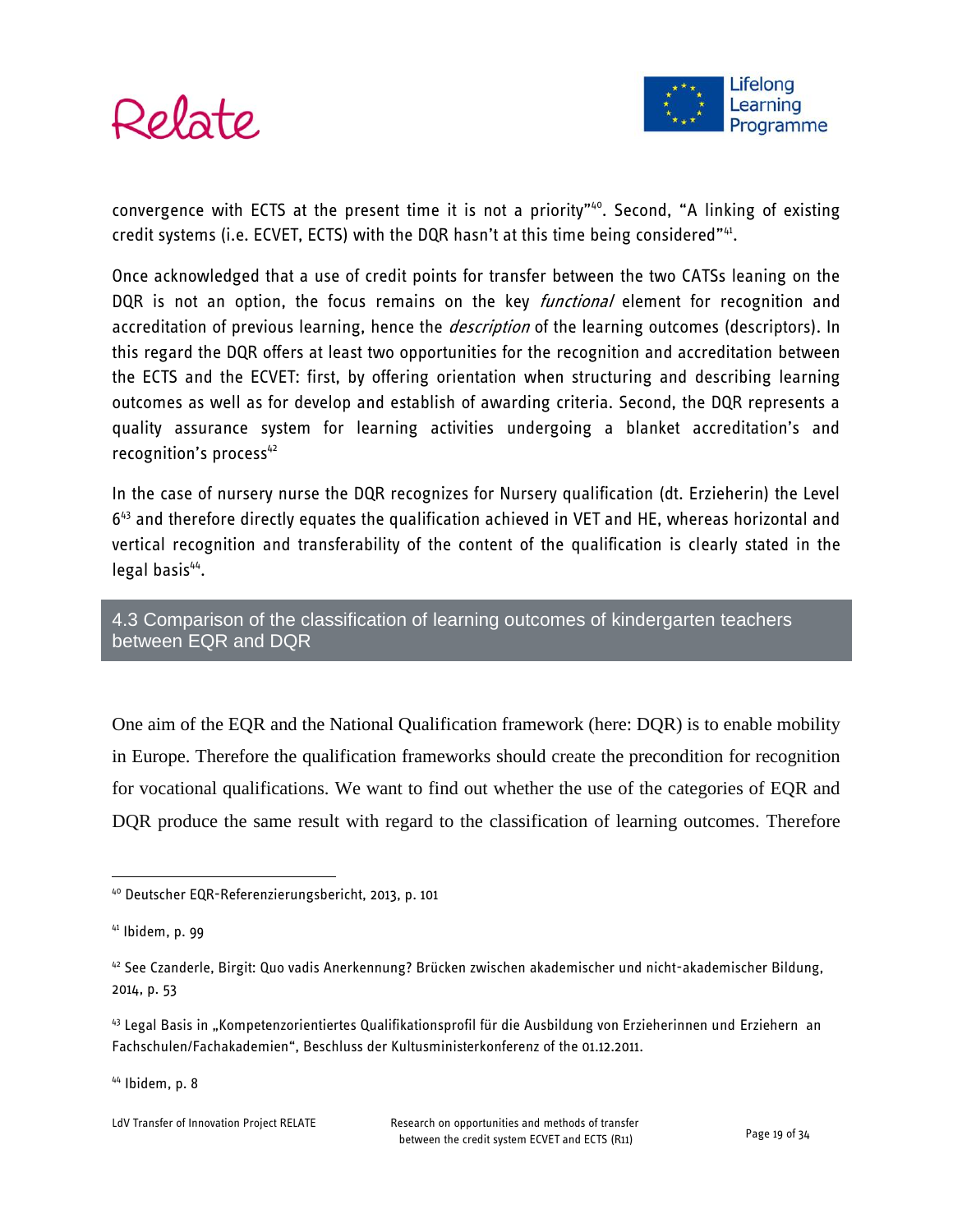

convergence with ECTS at the present time it is not a priority"<sup>40</sup>. Second, "A linking of existing credit systems (i.e. ECVET, ECTS) with the DQR hasn't at this time being considered"<sup>41</sup>.

Once acknowledged that a use of credit points for transfer between the two CATSs leaning on the DQR is not an option, the focus remains on the key *functional* element for recognition and accreditation of previous learning, hence the *description* of the learning outcomes (descriptors). In this regard the DQR offers at least two opportunities for the recognition and accreditation between the ECTS and the ECVET: first, by offering orientation when structuring and describing learning outcomes as well as for develop and establish of awarding criteria. Second, the DQR represents a quality assurance system for learning activities undergoing a blanket accreditation's and recognition's process<sup>42</sup>

In the case of nursery nurse the DQR recognizes for Nursery qualification (dt. Erzieherin) the Level 6<sup>43</sup> and therefore directly equates the qualification achieved in VET and HE, whereas horizontal and vertical recognition and transferability of the content of the qualification is clearly stated in the legal basis<sup>44</sup>.

4.3 Comparison of the classification of learning outcomes of kindergarten teachers between EQR and DQR

One aim of the EQR and the National Qualification framework (here: DQR) is to enable mobility in Europe. Therefore the qualification frameworks should create the precondition for recognition for vocational qualifications. We want to find out whether the use of the categories of EQR and DQR produce the same result with regard to the classification of learning outcomes. Therefore

 $\overline{a}$ 

 $44$  Ibidem, p. 8

<sup>40</sup> Deutscher EQR-Referenzierungsbericht, 2013, p. 101

<sup>41</sup> Ibidem, p. 99

<sup>42</sup> See Czanderle, Birgit: Quo vadis Anerkennung? Brücken zwischen akademischer und nicht-akademischer Bildung, 2014, p. 53

<sup>43</sup> Legal Basis in "Kompetenzorientiertes Qualifikationsprofil für die Ausbildung von Erzieherinnen und Erziehern an Fachschulen/Fachakademien", Beschluss der Kultusministerkonferenz of the 01.12.2011.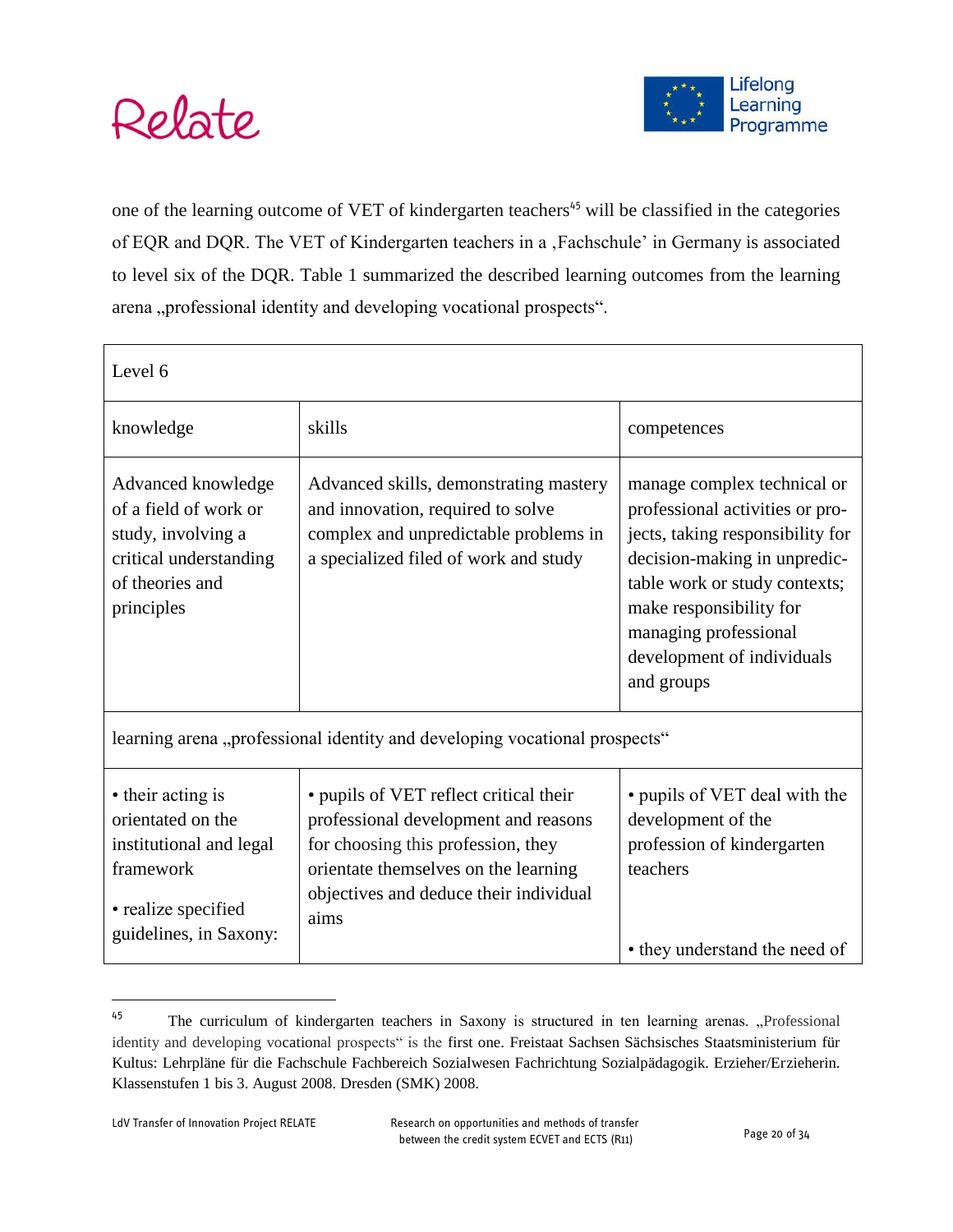



one of the learning outcome of VET of kindergarten teachers<sup>45</sup> will be classified in the categories of EQR and DQR. The VET of Kindergarten teachers in a , Fachschule' in Germany is associated to level six of the DQR. Table 1 summarized the described learning outcomes from the learning arena "professional identity and developing vocational prospects".

| Level 6                                                                                                                         |                                                                                                                                                                                                                |                                                                                                                                                                                                                                                                     |  |  |  |  |  |  |  |
|---------------------------------------------------------------------------------------------------------------------------------|----------------------------------------------------------------------------------------------------------------------------------------------------------------------------------------------------------------|---------------------------------------------------------------------------------------------------------------------------------------------------------------------------------------------------------------------------------------------------------------------|--|--|--|--|--|--|--|
| knowledge                                                                                                                       | skills                                                                                                                                                                                                         | competences                                                                                                                                                                                                                                                         |  |  |  |  |  |  |  |
| Advanced knowledge<br>of a field of work or<br>study, involving a<br>critical understanding<br>of theories and<br>principles    | Advanced skills, demonstrating mastery<br>and innovation, required to solve<br>complex and unpredictable problems in<br>a specialized filed of work and study                                                  | manage complex technical or<br>professional activities or pro-<br>jects, taking responsibility for<br>decision-making in unpredic-<br>table work or study contexts;<br>make responsibility for<br>managing professional<br>development of individuals<br>and groups |  |  |  |  |  |  |  |
|                                                                                                                                 | learning arena, professional identity and developing vocational prospects"                                                                                                                                     |                                                                                                                                                                                                                                                                     |  |  |  |  |  |  |  |
| • their acting is<br>orientated on the<br>institutional and legal<br>framework<br>• realize specified<br>guidelines, in Saxony: | • pupils of VET reflect critical their<br>professional development and reasons<br>for choosing this profession, they<br>orientate themselves on the learning<br>objectives and deduce their individual<br>aims | • pupils of VET deal with the<br>development of the<br>profession of kindergarten<br>teachers<br>• they understand the need of                                                                                                                                      |  |  |  |  |  |  |  |

<sup>&</sup>lt;sup>45</sup> The curriculum of kindergarten teachers in Saxony is structured in ten learning arenas. "Professional identity and developing vocational prospects" is the first one. Freistaat Sachsen Sächsisches Staatsministerium für Kultus: Lehrpläne für die Fachschule Fachbereich Sozialwesen Fachrichtung Sozialpädagogik. Erzieher/Erzieherin. Klassenstufen 1 bis 3. August 2008. Dresden (SMK) 2008.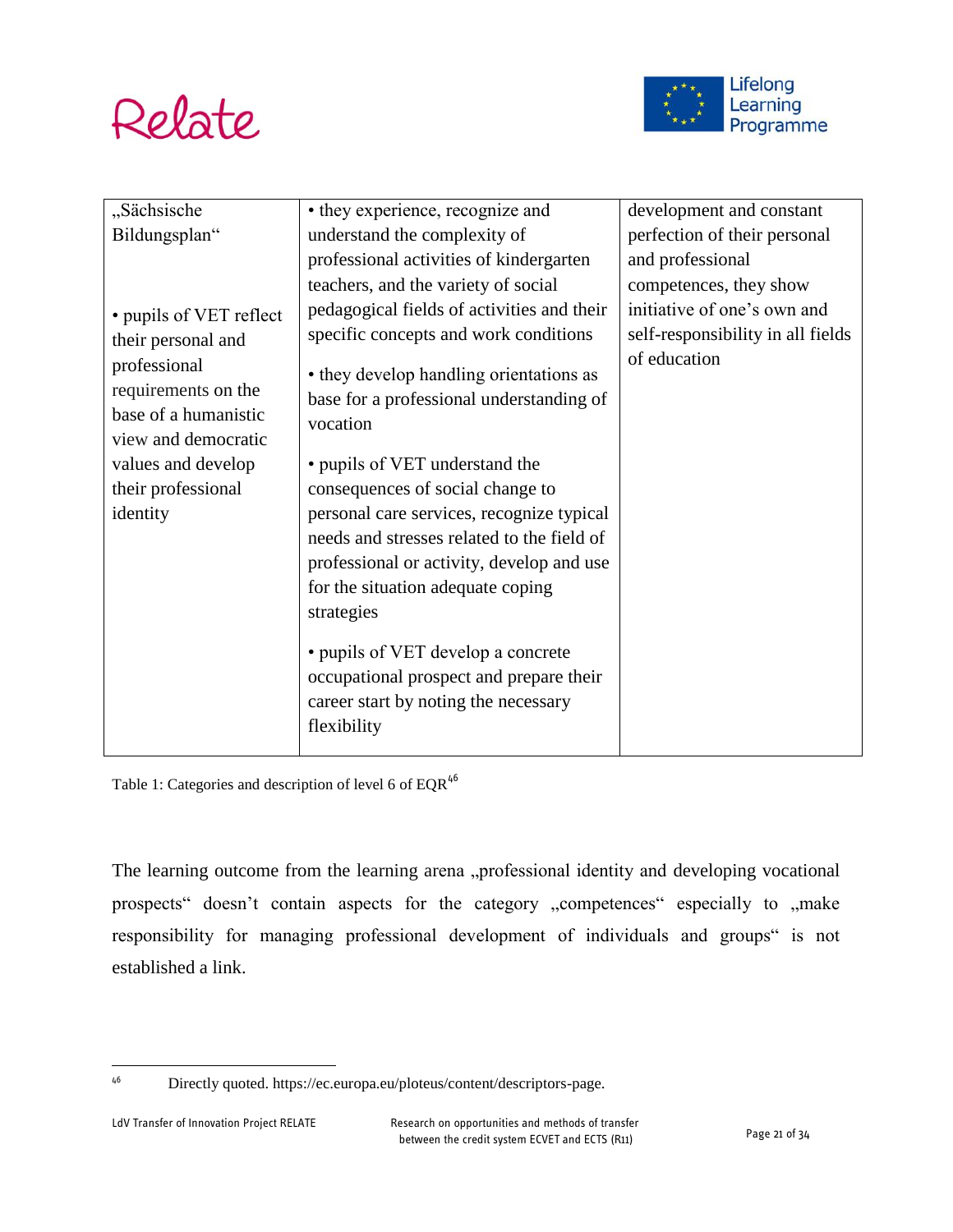



| "Sächsische                                                                                                                                | • they experience, recognize and                                                                                                                                                                                                                                                                              | development and constant          |
|--------------------------------------------------------------------------------------------------------------------------------------------|---------------------------------------------------------------------------------------------------------------------------------------------------------------------------------------------------------------------------------------------------------------------------------------------------------------|-----------------------------------|
| Bildungsplan"                                                                                                                              | understand the complexity of                                                                                                                                                                                                                                                                                  | perfection of their personal      |
|                                                                                                                                            | professional activities of kindergarten                                                                                                                                                                                                                                                                       | and professional                  |
|                                                                                                                                            | teachers, and the variety of social                                                                                                                                                                                                                                                                           | competences, they show            |
| • pupils of VET reflect                                                                                                                    | pedagogical fields of activities and their                                                                                                                                                                                                                                                                    | initiative of one's own and       |
| their personal and                                                                                                                         | specific concepts and work conditions                                                                                                                                                                                                                                                                         | self-responsibility in all fields |
| professional<br>requirements on the<br>base of a humanistic<br>view and democratic<br>values and develop<br>their professional<br>identity | • they develop handling orientations as<br>base for a professional understanding of<br>vocation<br>• pupils of VET understand the<br>consequences of social change to<br>personal care services, recognize typical<br>needs and stresses related to the field of<br>professional or activity, develop and use | of education                      |
|                                                                                                                                            | for the situation adequate coping                                                                                                                                                                                                                                                                             |                                   |
|                                                                                                                                            | strategies                                                                                                                                                                                                                                                                                                    |                                   |
|                                                                                                                                            | • pupils of VET develop a concrete<br>occupational prospect and prepare their<br>career start by noting the necessary<br>flexibility                                                                                                                                                                          |                                   |

Table 1: Categories and description of level 6 of  $\mathrm{EQR}^{46}$ 

The learning outcome from the learning arena "professional identity and developing vocational prospects" doesn't contain aspects for the category "competences" especially to "make responsibility for managing professional development of individuals and groups" is not established a link.

<sup>46</sup> Directly quoted. https://ec.europa.eu/ploteus/content/descriptors-page.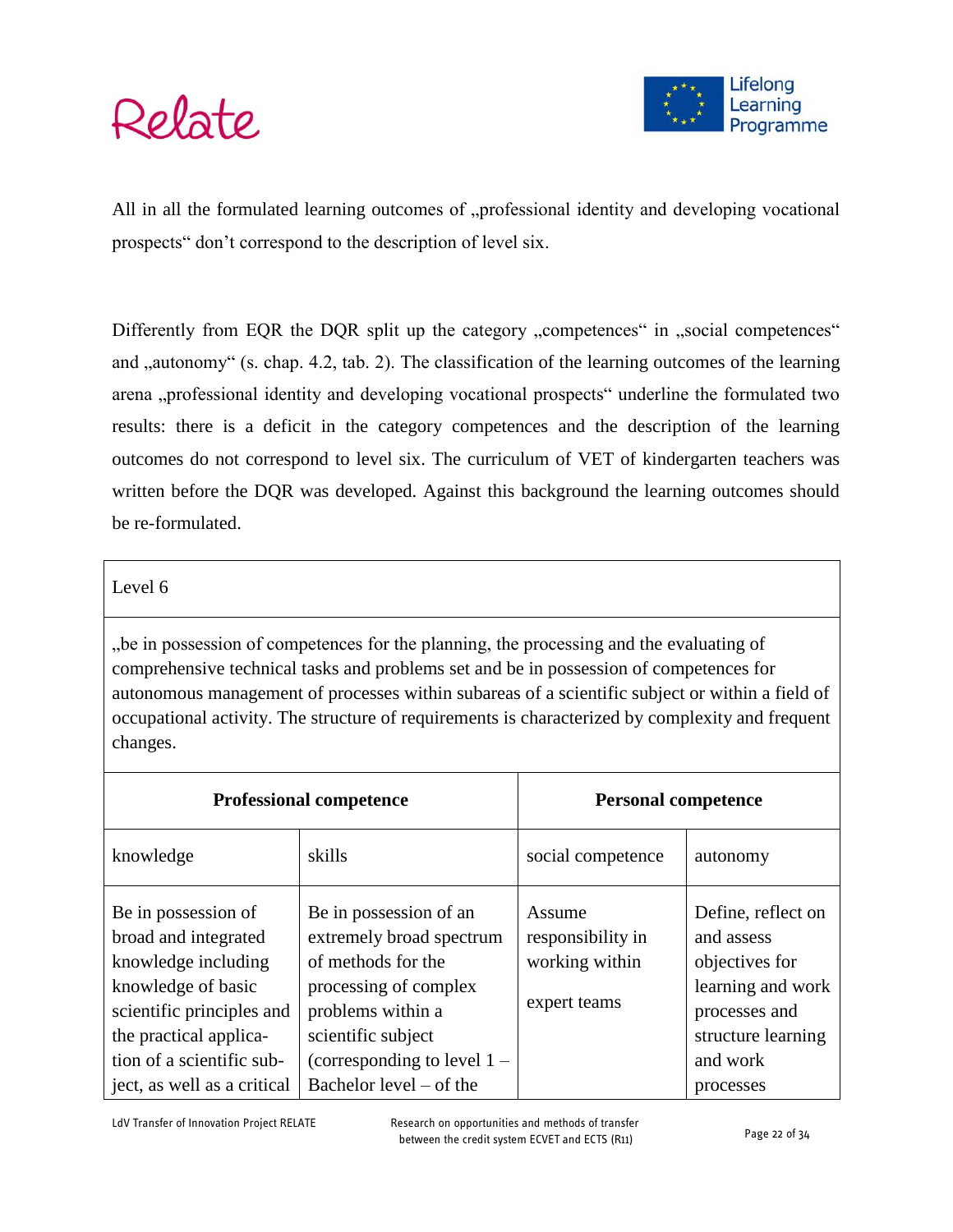

All in all the formulated learning outcomes of "professional identity and developing vocational prospects" don't correspond to the description of level six.

Differently from EQR the DQR split up the category "competences" in "social competences" and "autonomy" (s. chap. 4.2, tab. 2). The classification of the learning outcomes of the learning arena "professional identity and developing vocational prospects" underline the formulated two results: there is a deficit in the category competences and the description of the learning outcomes do not correspond to level six. The curriculum of VET of kindergarten teachers was written before the DQR was developed. Against this background the learning outcomes should be re-formulated.

#### Level 6

", be in possession of competences for the planning, the processing and the evaluating of comprehensive technical tasks and problems set and be in possession of competences for autonomous management of processes within subareas of a scientific subject or within a field of occupational activity. The structure of requirements is characterized by complexity and frequent changes.

|                                                                                                                                                                              | <b>Professional competence</b>                                                                                                                                                | <b>Personal competence</b>                                    |                                                                                                                            |  |  |
|------------------------------------------------------------------------------------------------------------------------------------------------------------------------------|-------------------------------------------------------------------------------------------------------------------------------------------------------------------------------|---------------------------------------------------------------|----------------------------------------------------------------------------------------------------------------------------|--|--|
| knowledge                                                                                                                                                                    | skills                                                                                                                                                                        | social competence                                             | autonomy                                                                                                                   |  |  |
| Be in possession of<br>broad and integrated<br>knowledge including<br>knowledge of basic<br>scientific principles and<br>the practical applica-<br>tion of a scientific sub- | Be in possession of an<br>extremely broad spectrum<br>of methods for the<br>processing of complex<br>problems within a<br>scientific subject<br>(corresponding to level $1 -$ | Assume<br>responsibility in<br>working within<br>expert teams | Define, reflect on<br>and assess<br>objectives for<br>learning and work<br>processes and<br>structure learning<br>and work |  |  |
| ject, as well as a critical                                                                                                                                                  | Bachelor level – of the                                                                                                                                                       |                                                               | processes                                                                                                                  |  |  |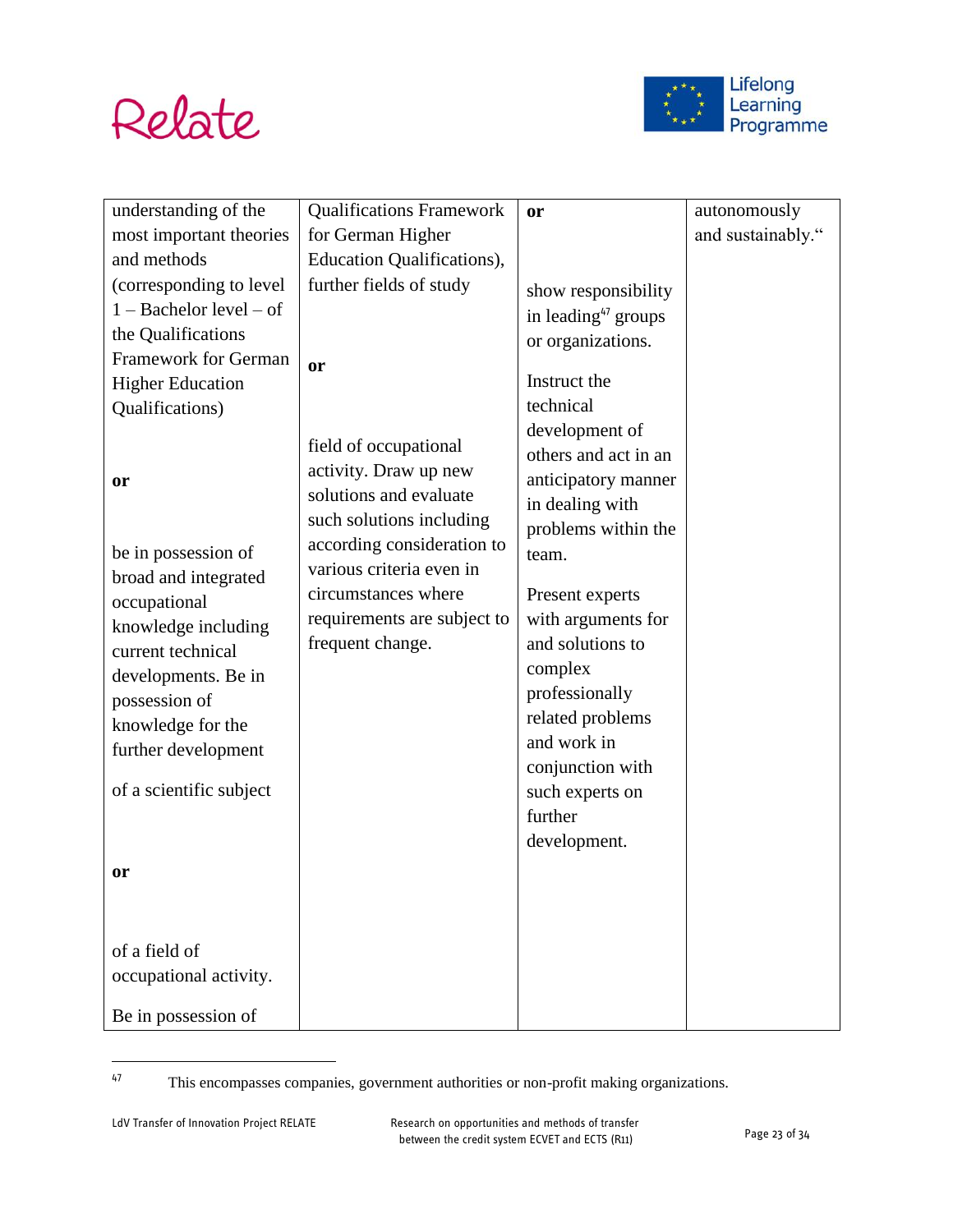



| understanding of the        | <b>Qualifications Framework</b>                | or                              | autonomously      |
|-----------------------------|------------------------------------------------|---------------------------------|-------------------|
| most important theories     | for German Higher                              |                                 | and sustainably." |
| and methods                 | Education Qualifications),                     |                                 |                   |
| (corresponding to level)    | further fields of study                        | show responsibility             |                   |
| $1 -$ Bachelor level $-$ of |                                                | in leading <sup>47</sup> groups |                   |
| the Qualifications          |                                                | or organizations.               |                   |
| <b>Framework for German</b> | <b>or</b>                                      |                                 |                   |
| <b>Higher Education</b>     |                                                | Instruct the                    |                   |
| Qualifications)             |                                                | technical                       |                   |
|                             |                                                | development of                  |                   |
|                             | field of occupational<br>activity. Draw up new | others and act in an            |                   |
| or                          | solutions and evaluate                         | anticipatory manner             |                   |
|                             | such solutions including                       | in dealing with                 |                   |
|                             | according consideration to                     | problems within the             |                   |
| be in possession of         | various criteria even in                       | team.                           |                   |
| broad and integrated        | circumstances where                            | Present experts                 |                   |
| occupational                | requirements are subject to                    | with arguments for              |                   |
| knowledge including         | frequent change.                               | and solutions to                |                   |
| current technical           |                                                | complex                         |                   |
| developments. Be in         |                                                | professionally                  |                   |
| possession of               |                                                | related problems                |                   |
| knowledge for the           |                                                | and work in                     |                   |
| further development         |                                                | conjunction with                |                   |
| of a scientific subject     |                                                | such experts on                 |                   |
|                             |                                                | further                         |                   |
|                             |                                                | development.                    |                   |
| or                          |                                                |                                 |                   |
|                             |                                                |                                 |                   |
|                             |                                                |                                 |                   |
| of a field of               |                                                |                                 |                   |
| occupational activity.      |                                                |                                 |                   |
|                             |                                                |                                 |                   |
| Be in possession of         |                                                |                                 |                   |

<sup>47</sup> This encompasses companies, government authorities or non-profit making organizations.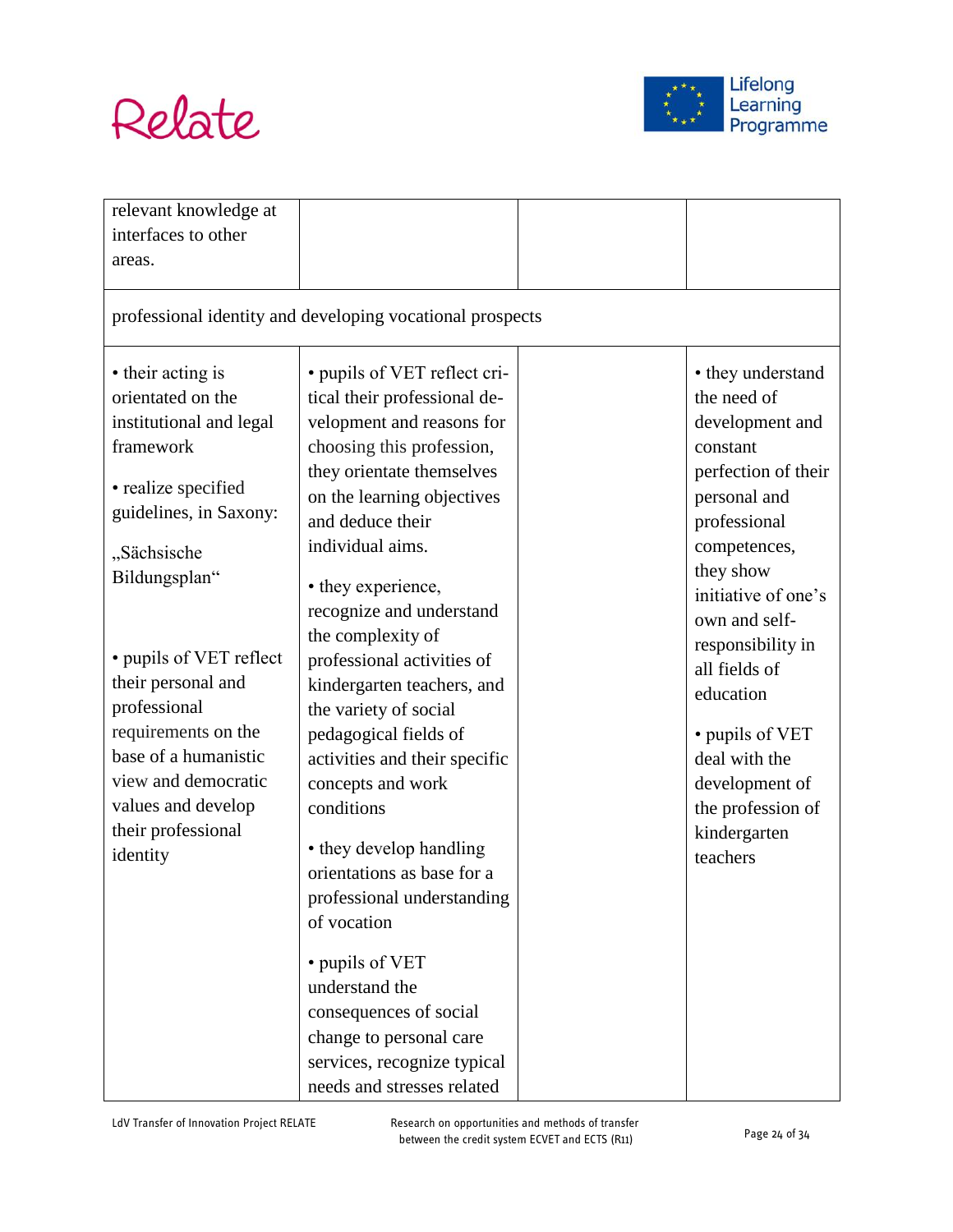



| relevant knowledge at   |                                                           |                     |
|-------------------------|-----------------------------------------------------------|---------------------|
| interfaces to other     |                                                           |                     |
| areas.                  |                                                           |                     |
|                         |                                                           |                     |
|                         | professional identity and developing vocational prospects |                     |
| • their acting is       | • pupils of VET reflect cri-                              | • they understand   |
| orientated on the       | tical their professional de-                              | the need of         |
| institutional and legal | velopment and reasons for                                 | development and     |
| framework               | choosing this profession,                                 | constant            |
|                         | they orientate themselves                                 | perfection of their |
| • realize specified     | on the learning objectives                                | personal and        |
| guidelines, in Saxony:  | and deduce their                                          | professional        |
| "Sächsische             | individual aims.                                          | competences,        |
| Bildungsplan"           |                                                           | they show           |
|                         | • they experience,                                        | initiative of one's |
|                         | recognize and understand                                  | own and self-       |
|                         | the complexity of                                         | responsibility in   |
| • pupils of VET reflect | professional activities of                                | all fields of       |
| their personal and      | kindergarten teachers, and                                | education           |
| professional            | the variety of social                                     |                     |
| requirements on the     | pedagogical fields of                                     | • pupils of VET     |
| base of a humanistic    | activities and their specific                             | deal with the       |
| view and democratic     | concepts and work                                         | development of      |
| values and develop      | conditions                                                | the profession of   |
| their professional      | • they develop handling                                   | kindergarten        |
| identity                | orientations as base for a                                | teachers            |
|                         |                                                           |                     |
|                         | professional understanding                                |                     |
|                         | of vocation                                               |                     |
|                         | • pupils of VET                                           |                     |
|                         | understand the                                            |                     |
|                         | consequences of social                                    |                     |
|                         | change to personal care                                   |                     |
|                         | services, recognize typical                               |                     |
|                         | needs and stresses related                                |                     |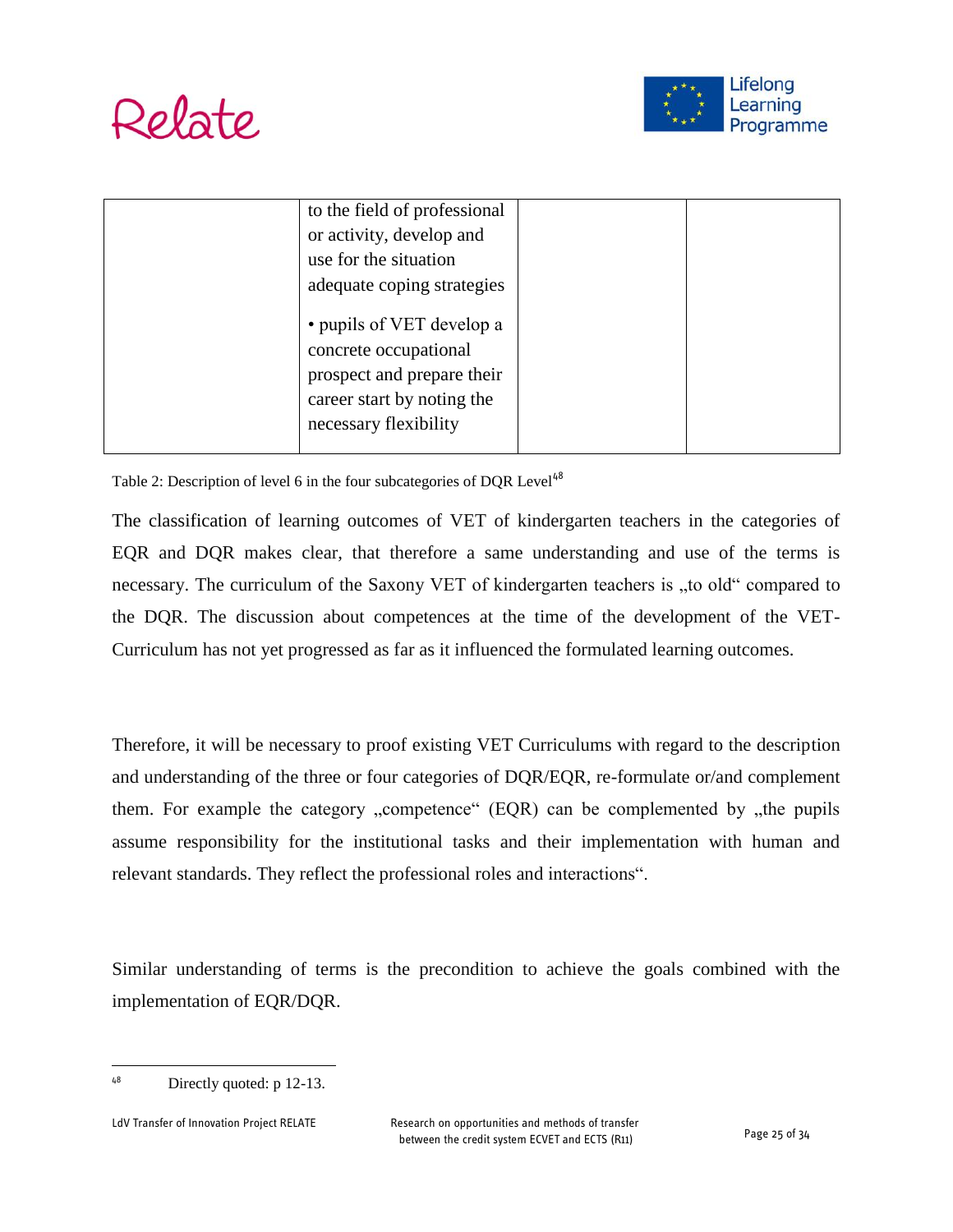



| to the field of professional                                                                                                            |  |
|-----------------------------------------------------------------------------------------------------------------------------------------|--|
| or activity, develop and                                                                                                                |  |
| use for the situation                                                                                                                   |  |
| adequate coping strategies                                                                                                              |  |
| • pupils of VET develop a<br>concrete occupational<br>prospect and prepare their<br>career start by noting the<br>necessary flexibility |  |
|                                                                                                                                         |  |

Table 2: Description of level 6 in the four subcategories of DQR Level<sup>48</sup>

The classification of learning outcomes of VET of kindergarten teachers in the categories of EQR and DQR makes clear, that therefore a same understanding and use of the terms is necessary. The curriculum of the Saxony VET of kindergarten teachers is "to old" compared to the DQR. The discussion about competences at the time of the development of the VET-Curriculum has not yet progressed as far as it influenced the formulated learning outcomes.

Therefore, it will be necessary to proof existing VET Curriculums with regard to the description and understanding of the three or four categories of DQR/EQR, re-formulate or/and complement them. For example the category  $\alpha$ , competence  $\alpha$  (EQR) can be complemented by  $\alpha$ , the pupils assume responsibility for the institutional tasks and their implementation with human and relevant standards. They reflect the professional roles and interactions".

Similar understanding of terms is the precondition to achieve the goals combined with the implementation of EQR/DQR.

 $48$  Directly quoted: p 12-13.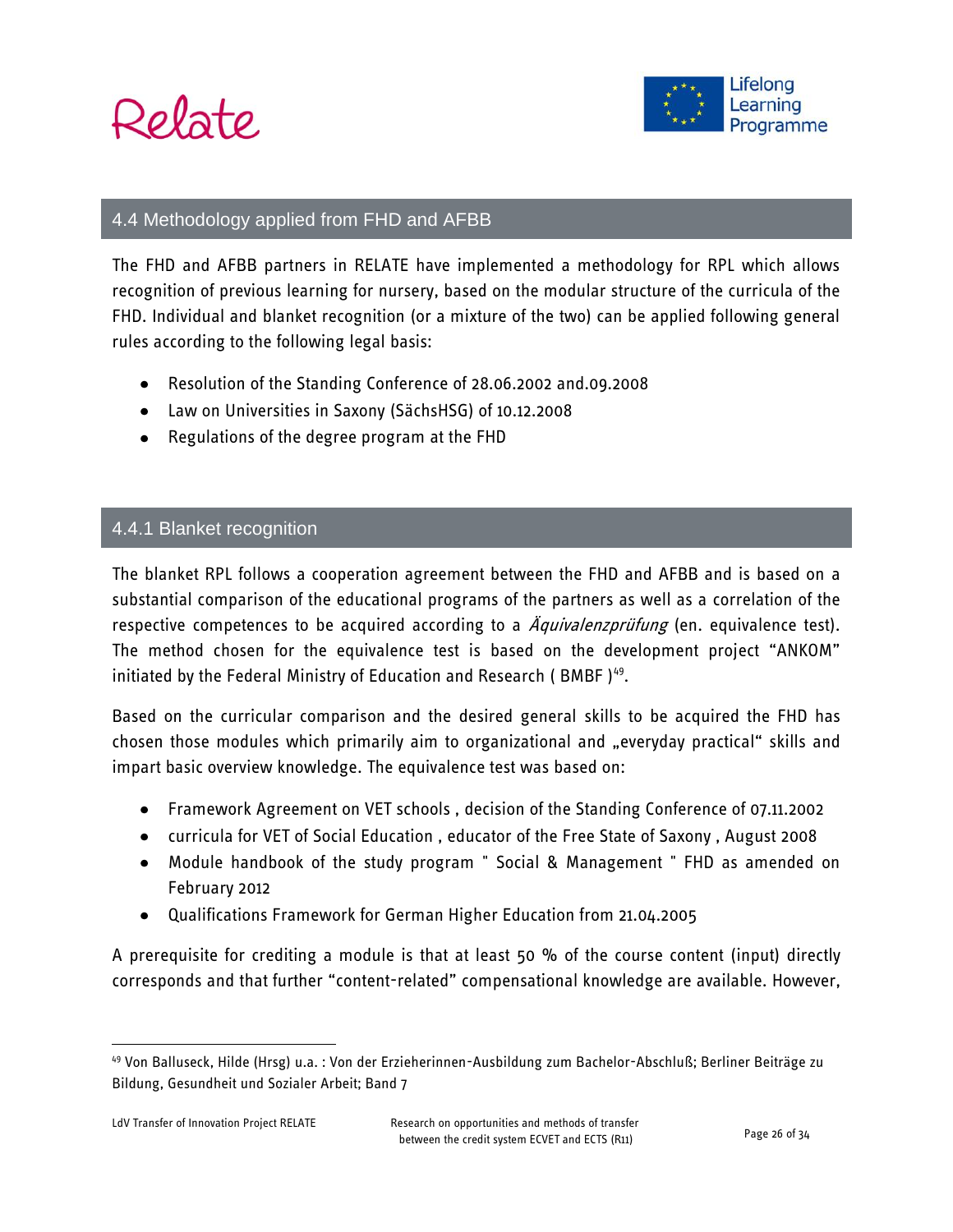



#### 4.4 Methodology applied from FHD and AFBB

The FHD and AFBB partners in RELATE have implemented a methodology for RPL which allows recognition of previous learning for nursery, based on the modular structure of the curricula of the FHD. Individual and blanket recognition (or a mixture of the two) can be applied following general rules according to the following legal basis:

- Resolution of the Standing Conference of 28.06.2002 and.09.2008
- Law on Universities in Saxony (SächsHSG) of 10.12.2008
- Regulations of the degree program at the FHD

#### 4.4.1 Blanket recognition

The blanket RPL follows a cooperation agreement between the FHD and AFBB and is based on a substantial comparison of the educational programs of the partners as well as a correlation of the respective competences to be acquired according to a  $\ddot{A}$ quivalenzprüfung (en. equivalence test). The method chosen for the equivalence test is based on the development project "ANKOM" initiated by the Federal Ministry of Education and Research ( BMBF )<sup>49</sup>.

Based on the curricular comparison and the desired general skills to be acquired the FHD has chosen those modules which primarily aim to organizational and "everyday practical" skills and impart basic overview knowledge. The equivalence test was based on:

- Framework Agreement on VET schools , decision of the Standing Conference of 07.11.2002
- curricula for VET of Social Education , educator of the Free State of Saxony , August 2008
- Module handbook of the study program " Social & Management " FHD as amended on February 2012
- Qualifications Framework for German Higher Education from 21.04.2005

A prerequisite for crediting a module is that at least 50 % of the course content (input) directly corresponds and that further "content-related" compensational knowledge are available. However,

<sup>49</sup> Von Balluseck, Hilde (Hrsg) u.a. : Von der Erzieherinnen-Ausbildung zum Bachelor-Abschluß; Berliner Beiträge zu Bildung, Gesundheit und Sozialer Arbeit; Band 7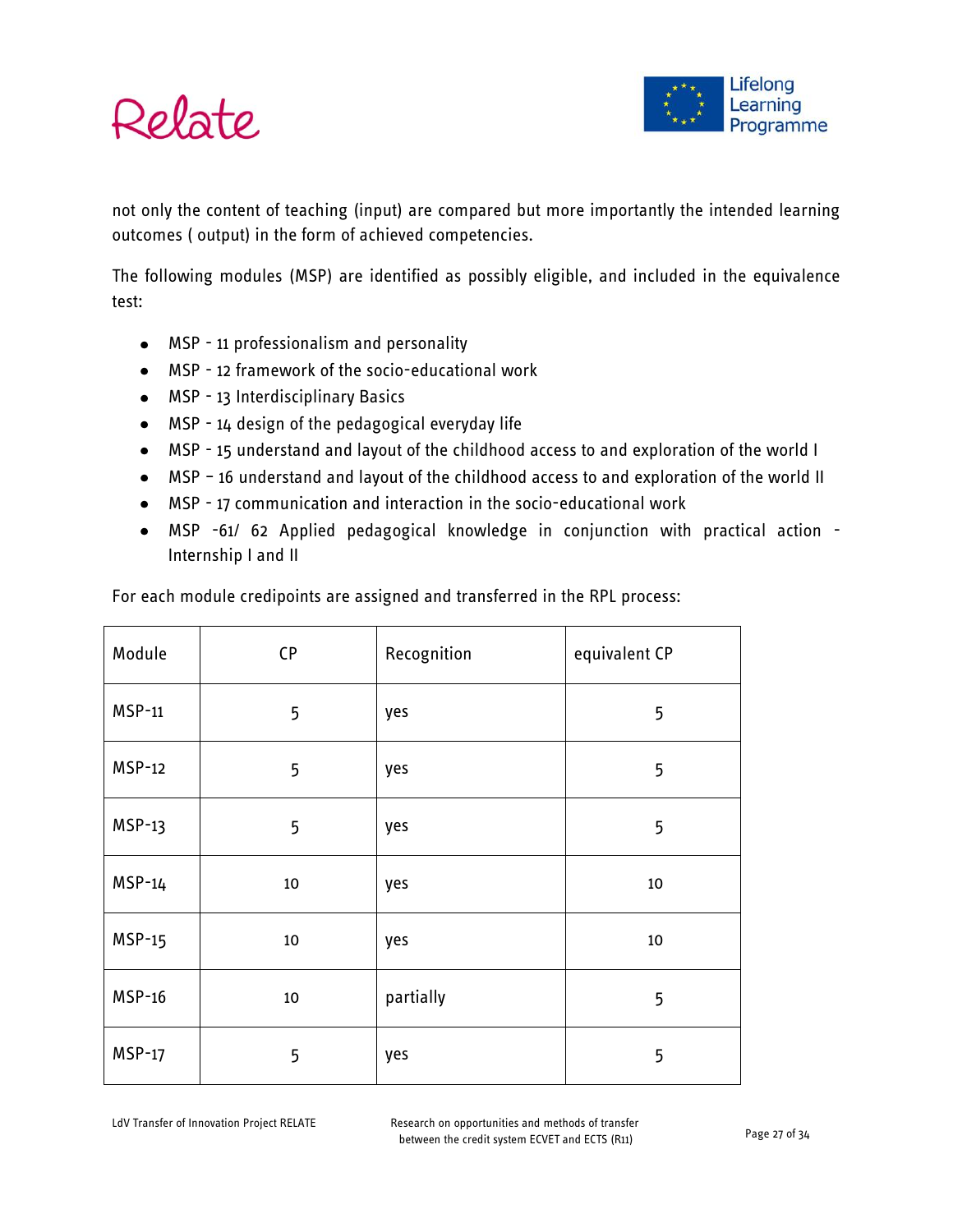

not only the content of teaching (input) are compared but more importantly the intended learning outcomes ( output) in the form of achieved competencies.

The following modules (MSP) are identified as possibly eligible, and included in the equivalence test:

- MSP 11 professionalism and personality
- MSP 12 framework of the socio-educational work
- MSP 13 Interdisciplinary Basics
- MSP 14 design of the pedagogical everyday life
- MSP 15 understand and layout of the childhood access to and exploration of the world I
- MSP 16 understand and layout of the childhood access to and exploration of the world II
- MSP 17 communication and interaction in the socio-educational work
- MSP -61/ 62 Applied pedagogical knowledge in conjunction with practical action Internship I and II

| Module        | CP     | Recognition | equivalent CP |
|---------------|--------|-------------|---------------|
| <b>MSP-11</b> | 5      | yes         | 5             |
| <b>MSP-12</b> | 5      | yes         | 5             |
| $MSP-13$      | 5      | yes         | 5             |
| $MSP-14$      | $10\,$ | yes         | 10            |
| <b>MSP-15</b> | 10     | yes         | $10\,$        |
| <b>MSP-16</b> | 10     | partially   | 5             |
| <b>MSP-17</b> | 5      | yes         | 5             |

For each module credipoints are assigned and transferred in the RPL process:

LdV Transfer of Innovation Project RELATE Research on opportunities and methods of transfer between the credit system ECVET and ECTS (R11) Page 27 of 34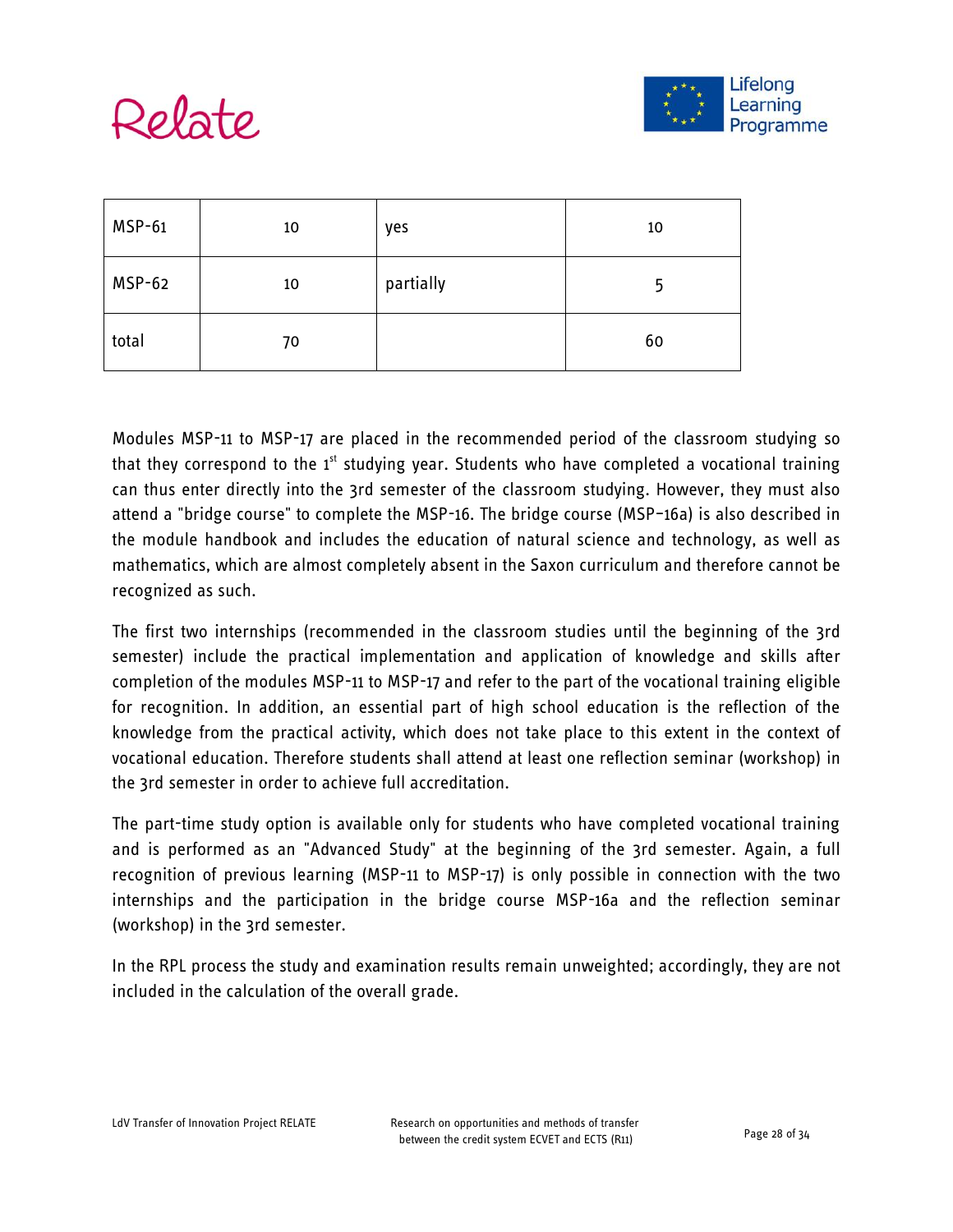



| <b>MSP-61</b> | 10 | yes       | 10 |
|---------------|----|-----------|----|
| MSP-62        | 10 | partially | ל  |
| total         | 70 |           | 60 |

Modules MSP-11 to MSP-17 are placed in the recommended period of the classroom studying so that they correspond to the  $1<sup>st</sup>$  studying year. Students who have completed a vocational training can thus enter directly into the 3rd semester of the classroom studying. However, they must also attend a "bridge course" to complete the MSP-16. The bridge course (MSP–16a) is also described in the module handbook and includes the education of natural science and technology, as well as mathematics, which are almost completely absent in the Saxon curriculum and therefore cannot be recognized as such.

The first two internships (recommended in the classroom studies until the beginning of the 3rd semester) include the practical implementation and application of knowledge and skills after completion of the modules MSP-11 to MSP-17 and refer to the part of the vocational training eligible for recognition. In addition, an essential part of high school education is the reflection of the knowledge from the practical activity, which does not take place to this extent in the context of vocational education. Therefore students shall attend at least one reflection seminar (workshop) in the 3rd semester in order to achieve full accreditation.

The part-time study option is available only for students who have completed vocational training and is performed as an "Advanced Study" at the beginning of the 3rd semester. Again, a full recognition of previous learning (MSP-11 to MSP-17) is only possible in connection with the two internships and the participation in the bridge course MSP-16a and the reflection seminar (workshop) in the 3rd semester.

In the RPL process the study and examination results remain unweighted; accordingly, they are not included in the calculation of the overall grade.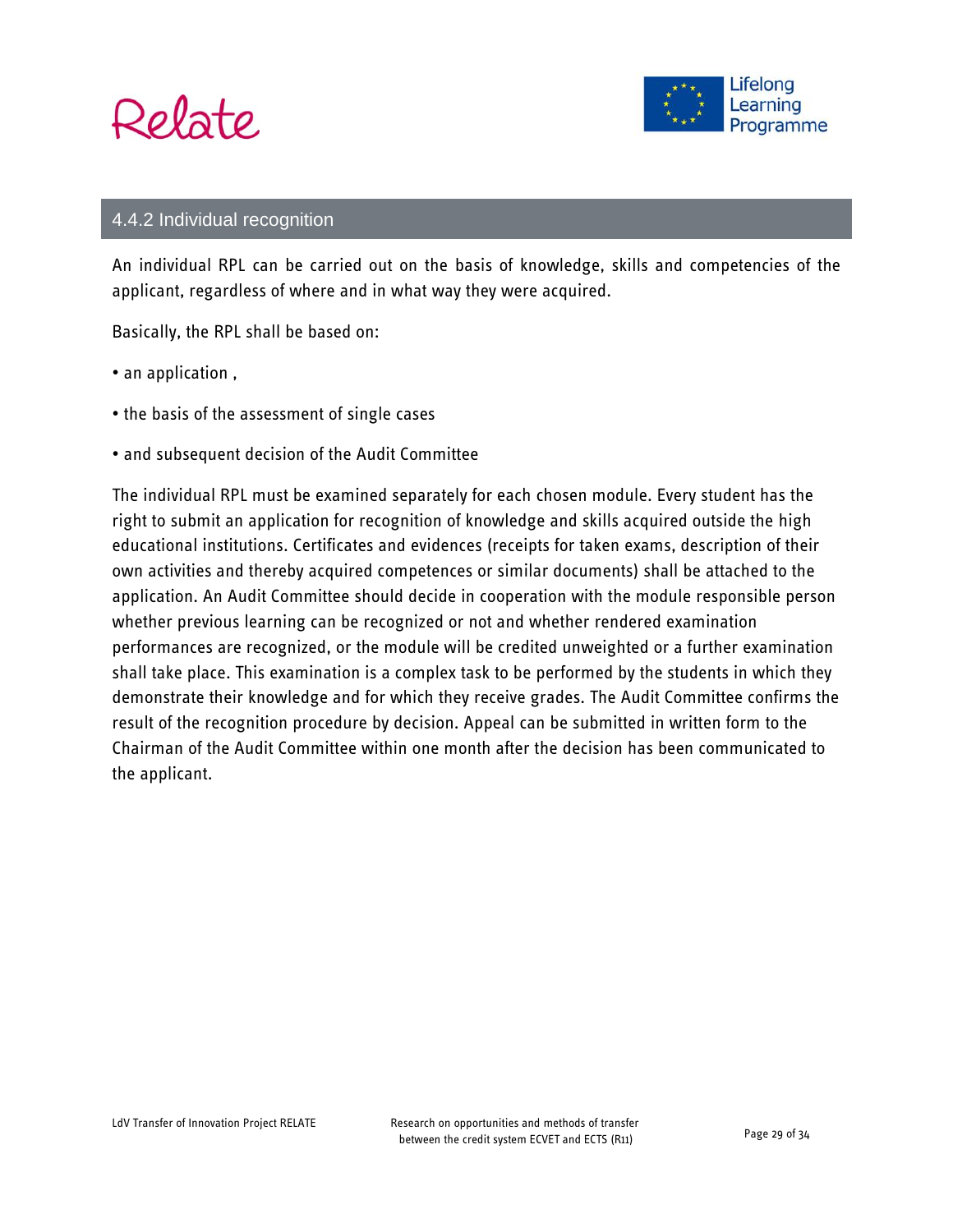



#### 4.4.2 Individual recognition

An individual RPL can be carried out on the basis of knowledge, skills and competencies of the applicant, regardless of where and in what way they were acquired.

Basically, the RPL shall be based on:

- an application,
- the basis of the assessment of single cases
- and subsequent decision of the Audit Committee

The individual RPL must be examined separately for each chosen module. Every student has the right to submit an application for recognition of knowledge and skills acquired outside the high educational institutions. Certificates and evidences (receipts for taken exams, description of their own activities and thereby acquired competences or similar documents) shall be attached to the application. An Audit Committee should decide in cooperation with the module responsible person whether previous learning can be recognized or not and whether rendered examination performances are recognized, or the module will be credited unweighted or a further examination shall take place. This examination is a complex task to be performed by the students in which they demonstrate their knowledge and for which they receive grades. The Audit Committee confirms the result of the recognition procedure by decision. Appeal can be submitted in written form to the Chairman of the Audit Committee within one month after the decision has been communicated to the applicant.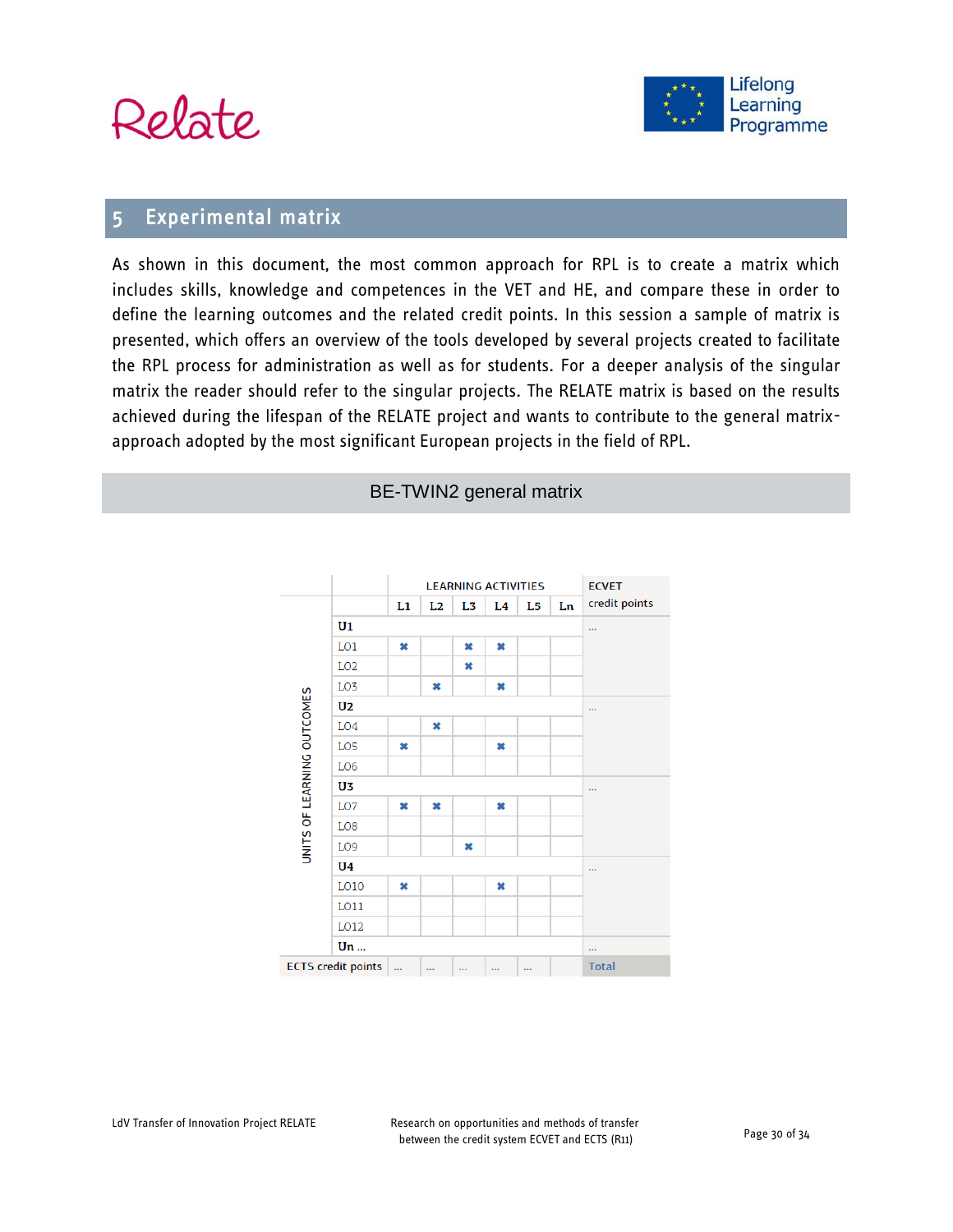



### 5 Experimental matrix

As shown in this document, the most common approach for RPL is to create a matrix which includes skills, knowledge and competences in the VET and HE, and compare these in order to define the learning outcomes and the related credit points. In this session a sample of matrix is presented, which offers an overview of the tools developed by several projects created to facilitate the RPL process for administration as well as for students. For a deeper analysis of the singular matrix the reader should refer to the singular projects. The RELATE matrix is based on the results achieved during the lifespan of the RELATE project and wants to contribute to the general matrixapproach adopted by the most significant European projects in the field of RPL.



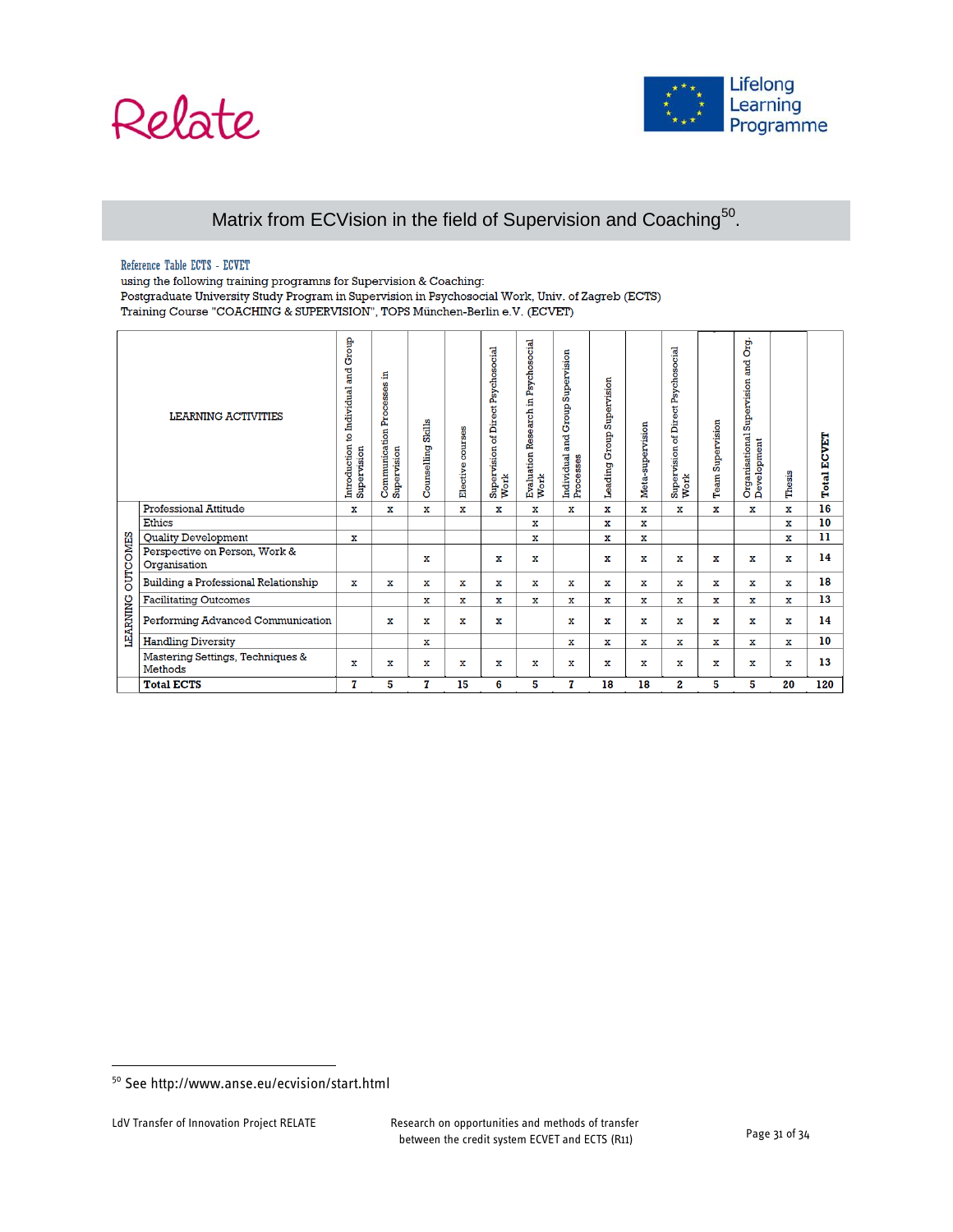# Relate



#### Matrix from ECVision in the field of Supervision and Coaching<sup>50</sup>.

#### Reference Table ECTS - ECVET

using the following training programns for Supervision & Coaching:

Postgraduate University Study Program in Supervision in Psychosocial Work, Univ. of Zagreb (ECTS) Training Course "COACHING & SUPERVISION", TOPS München-Berlin e.V. (ECVET)

|                 | <b>LEARNING ACTIVITIES</b>                    | Introduction to Individual and Group<br>Supervision | £,<br><b>Communication Processes</b><br>Supervision | <b>Counselling Skills</b> | courses<br>Elective | Psychosocial<br>Direct.<br>ង<br>Supervision o<br>Work | Evaluation Research in Psychosocial<br>Work | and Group Supervision<br>Individual<br>Processes | Supervision<br>Leading Group | Meta-supervision | of Direct Psychosocial<br>Supervision o<br>Work | <b>Team Supervision</b> | Org.<br><b>and</b><br>Supervision<br>Organisational S<br>Development | Thesis      | CVET<br>Й<br>Total |
|-----------------|-----------------------------------------------|-----------------------------------------------------|-----------------------------------------------------|---------------------------|---------------------|-------------------------------------------------------|---------------------------------------------|--------------------------------------------------|------------------------------|------------------|-------------------------------------------------|-------------------------|----------------------------------------------------------------------|-------------|--------------------|
|                 | <b>Professional Attitude</b>                  | x                                                   | x                                                   | x                         | $\mathbf x$         | x                                                     | х                                           | х                                                | $\mathbf x$                  | x                | $\mathbf x$                                     | $\mathbf x$             | x                                                                    | x           | 16                 |
|                 | Ethics                                        |                                                     |                                                     |                           |                     |                                                       | x                                           |                                                  | x                            | x                |                                                 |                         |                                                                      | x           | 10                 |
|                 | Quality Development                           | х                                                   |                                                     |                           |                     |                                                       | х                                           |                                                  | ж                            | ж                |                                                 |                         |                                                                      | x           | 11                 |
| <b>OUTCOMES</b> | Perspective on Person, Work &<br>Organisation |                                                     |                                                     | x                         |                     | x                                                     | x                                           |                                                  | x                            | x                | $\mathbf x$                                     | x                       | x                                                                    | x           | 14                 |
|                 | Building a Professional Relationship          | $\mathbf{x}$                                        | x                                                   | x                         | х                   | х                                                     | x                                           | x                                                | х                            | х                | x                                               | х                       | х                                                                    | х           | 18                 |
|                 | <b>Facilitating Outcomes</b>                  |                                                     |                                                     | x                         | $\mathbf x$         | x                                                     | х                                           | x                                                | $\mathbf x$                  | x                | $\mathbf x$                                     | ж                       | x                                                                    | х           | 13                 |
| <b>LEARNING</b> | Performing Advanced Communication             |                                                     | х                                                   | x                         | х                   | x                                                     |                                             | x                                                | x                            | $\mathbf x$      | x                                               | х                       | x                                                                    | х           | 14                 |
|                 | <b>Handling Diversity</b>                     |                                                     |                                                     | x                         |                     |                                                       |                                             | x                                                | x                            | x                | x                                               | x                       | x                                                                    | x           | 10                 |
|                 | Mastering Settings, Techniques &<br>Methods   | $\mathbf x$                                         | x                                                   | $\mathbf x$               | х                   | x                                                     | х                                           | х                                                | $\mathbf x$                  | x                | $\mathbf x$                                     | x                       | x                                                                    | $\mathbf x$ | 13                 |
|                 | <b>Total ECTS</b>                             | T                                                   | 5                                                   | 7                         | 15                  | 6                                                     | 5                                           | 7                                                | 18                           | 18               | 2                                               | 5                       | 5                                                                    | 20          | 120                |

<sup>50</sup> See http://www.anse.eu/ecvision/start.html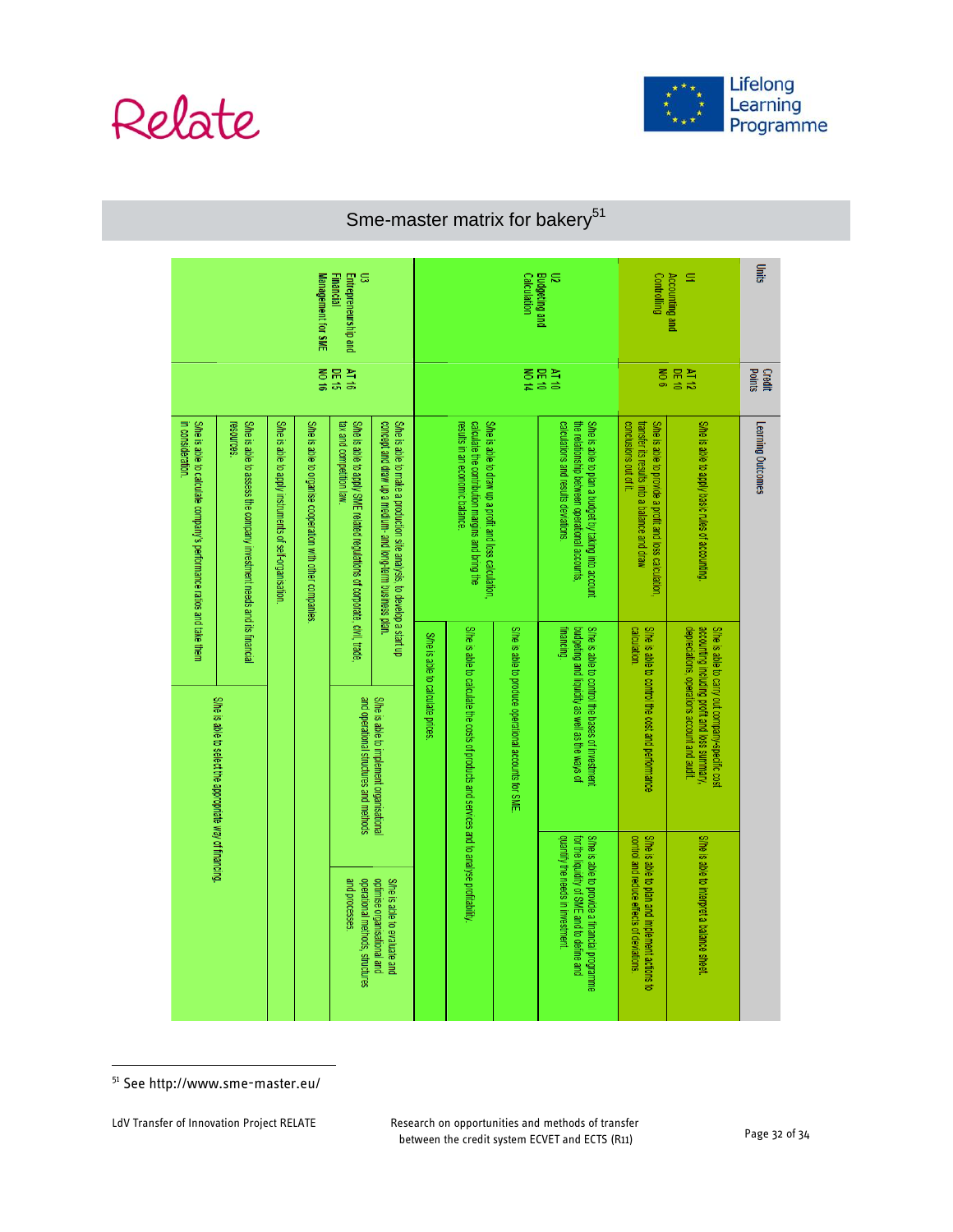



# Sme-master matrix for bakery $51$

| ã<br>Entrepreneurship and<br>Management for SME<br>Financial                             |                                                                                    |                                                                                                  |                                                           |                                                                                                     |                                                                                                                                      |                                                                                                                                              | <b>Calculation</b>                                    | <b>Budgeting and</b><br>$\approx$                                                                                      | <b>Controlling</b>                                                                                                                             | <b>Accounting and</b><br>Ξ                                                                                                                     | Units                                            |                   |  |
|------------------------------------------------------------------------------------------|------------------------------------------------------------------------------------|--------------------------------------------------------------------------------------------------|-----------------------------------------------------------|-----------------------------------------------------------------------------------------------------|--------------------------------------------------------------------------------------------------------------------------------------|----------------------------------------------------------------------------------------------------------------------------------------------|-------------------------------------------------------|------------------------------------------------------------------------------------------------------------------------|------------------------------------------------------------------------------------------------------------------------------------------------|------------------------------------------------------------------------------------------------------------------------------------------------|--------------------------------------------------|-------------------|--|
|                                                                                          |                                                                                    |                                                                                                  |                                                           | <b>DE 16</b><br>9L 1V                                                                               |                                                                                                                                      |                                                                                                                                              |                                                       | DE 10                                                                                                                  | NT 10                                                                                                                                          |                                                                                                                                                | $\frac{8}{2}$<br>DE 10<br>AT 12                  |                   |  |
| In consideration<br>S/he is able to calculate company's performance ratios and take them | S/he is able to assess the company investment needs and its financial<br>resources | S/he is able to apply instruments of self-organisation                                           | S/he is able to organise cooperation with other companies | She is able to apply SME related regulations of corporate, civil, trade<br>tax and competition law. | S/he is able to make a production site analysis, to develop a start up<br>concept and draw up a medium- and long-term business plan. | S/he is able to draw up a profit and loss calculation<br>results in an economic balance.<br>calculate the contribution margins and bring the |                                                       |                                                                                                                        | calculations and results deviations.<br>S/he is able to plan a budget by taking into account<br>the relationship between operational accounts, | transfer its results into a balance and draw<br>S/he is able to provide a profit and loss calculation,<br>conclusions out of it.               | S/he is able to apply basic rules of accounting. | Learning Outcomes |  |
|                                                                                          |                                                                                    | She is able to select the appropriate way of financing<br>and operational structures and methods |                                                           | S/he is able to implement organisational                                                            | She is able to calculate prices                                                                                                      | She is able to calculate the costs of products and services and to analyse profitability                                                     | S/he is able to produce operational accounts for SME. | S/he is able to control the bases of investment<br><b>Tinancing.</b><br>budgeting and liquidity as well as the ways of | S/he is able to control the cost and performance<br>calculation.                                                                               | accounting including profit and loss summary<br>S/he is able to carry out company-specific cost<br>depreciations, operations account and audit |                                                  |                   |  |
|                                                                                          |                                                                                    |                                                                                                  |                                                           | and processes.<br>operational methods, structures                                                   | optimise organisational and<br>S/he is able to evaluate and                                                                          |                                                                                                                                              |                                                       |                                                                                                                        | quantify the needs in investment.<br>for the liquidity of SME and to define and<br>S/he is able to provide a financial programme               | control and reduce effects of deviations.<br>S/he is able to plan and implement actions to                                                     | S/he is able to interpret a balance sheet.       |                   |  |

<sup>51</sup> See http://www.sme-master.eu/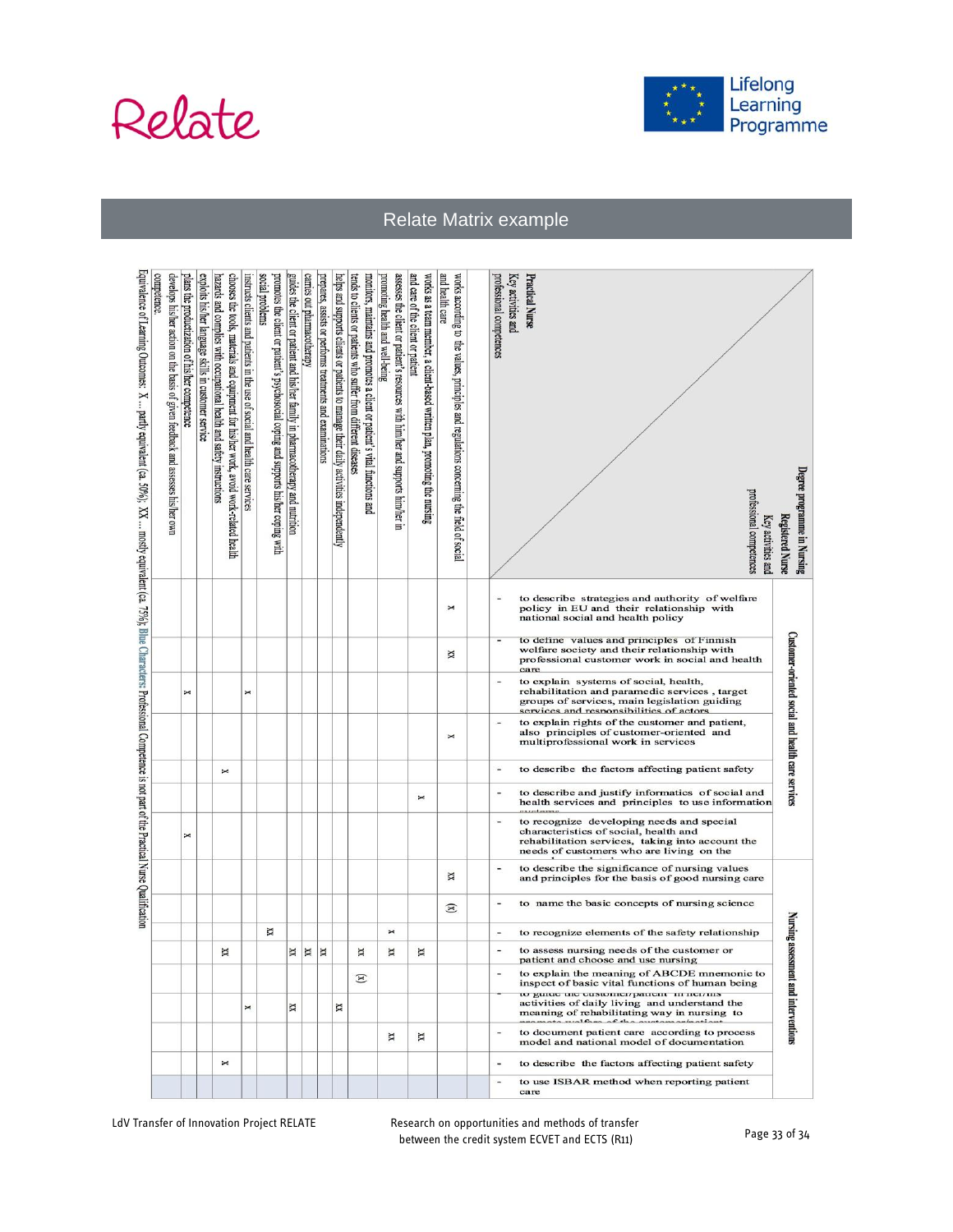



Relate Matrix example

| Degree programme in Nursing<br><b>Registered Nurse</b>                                                                                                                                                       |                                                                                                                                  |                                                                                                                                              |                                                                                                                                                                                   | Customer-oriented social and health care services                                                                                |                                                  |                                                                                                        |                                                                                                                                                                                    |                                                                                                     |                                               |                                                  | <b>Nursing assessm</b>                                                           |                                                                                                | ent and interventions                                                                                                                                                          |                                                                                            |                                                  |                                            |
|--------------------------------------------------------------------------------------------------------------------------------------------------------------------------------------------------------------|----------------------------------------------------------------------------------------------------------------------------------|----------------------------------------------------------------------------------------------------------------------------------------------|-----------------------------------------------------------------------------------------------------------------------------------------------------------------------------------|----------------------------------------------------------------------------------------------------------------------------------|--------------------------------------------------|--------------------------------------------------------------------------------------------------------|------------------------------------------------------------------------------------------------------------------------------------------------------------------------------------|-----------------------------------------------------------------------------------------------------|-----------------------------------------------|--------------------------------------------------|----------------------------------------------------------------------------------|------------------------------------------------------------------------------------------------|--------------------------------------------------------------------------------------------------------------------------------------------------------------------------------|--------------------------------------------------------------------------------------------|--------------------------------------------------|--------------------------------------------|
| protessional competences<br>Key activities and                                                                                                                                                               |                                                                                                                                  |                                                                                                                                              |                                                                                                                                                                                   |                                                                                                                                  |                                                  |                                                                                                        |                                                                                                                                                                                    |                                                                                                     |                                               |                                                  |                                                                                  |                                                                                                |                                                                                                                                                                                |                                                                                            |                                                  |                                            |
|                                                                                                                                                                                                              | to describe strategies and authority of welfare<br>policy in EU and their relationship with<br>national social and health policy | to define values and principles of Finnish<br>welfare society and their relationship with<br>professional customer work in social and health | to explain systems of social, health,<br>rehabilitation and paramedic services, target<br>groups of services, main legislation guiding<br>services and responsibilities of actors | to explain rights of the customer and patient,<br>also principles of customer-oriented and<br>multiprofessional work in services | to describe the factors affecting patient safety | to describe and justify informatics of social and<br>health services and principles to use information | to recognize developing needs and special<br>characteristics of social, health and<br>rehabilitation services, taking into account the<br>needs of customers who are living on the | to describe the significance of nursing values<br>and principles for the basis of good nursing care | to name the basic concepts of nursing science | to recognize elements of the safety relationship | to assess nursing needs of the customer or<br>patient and choose and use nursing | to explain the meaning of ABCDE mnemonic to<br>inspect of basic vital functions of human being | to guide the customer/patient in nei/ms<br>activities of daily living and understand the<br>meaning of rehabilitating way in nursing to<br>aata xualfana af tha anatamanhasian | to document patient care according to process<br>model and national model of documentation | to describe the factors affecting patient safety | to use ISBAR method when reporting patient |
| Key activities and<br>Practical Nurse<br>professional competences                                                                                                                                            |                                                                                                                                  | care                                                                                                                                         |                                                                                                                                                                                   |                                                                                                                                  | Ξ                                                |                                                                                                        |                                                                                                                                                                                    |                                                                                                     | $\frac{1}{2}$                                 | $\overline{a}$                                   |                                                                                  |                                                                                                |                                                                                                                                                                                |                                                                                            | $\qquad \qquad \blacksquare$                     | $\frac{1}{2}$<br>care                      |
|                                                                                                                                                                                                              |                                                                                                                                  |                                                                                                                                              |                                                                                                                                                                                   |                                                                                                                                  |                                                  |                                                                                                        |                                                                                                                                                                                    |                                                                                                     |                                               |                                                  |                                                                                  |                                                                                                |                                                                                                                                                                                |                                                                                            |                                                  |                                            |
| and health care<br>works according to the values, principles and regulations concerning the field of social                                                                                                  | $\mathbf{\times}$                                                                                                                | й                                                                                                                                            |                                                                                                                                                                                   | $\Join$                                                                                                                          |                                                  |                                                                                                        |                                                                                                                                                                                    | й                                                                                                   | $\mathbf{E}$                                  |                                                  |                                                                                  |                                                                                                |                                                                                                                                                                                |                                                                                            |                                                  |                                            |
| and care of the client or patient<br>works as a team member, a client-based written plan, promoting the nursing                                                                                              |                                                                                                                                  |                                                                                                                                              |                                                                                                                                                                                   |                                                                                                                                  |                                                  | x                                                                                                      |                                                                                                                                                                                    |                                                                                                     |                                               |                                                  | х                                                                                |                                                                                                |                                                                                                                                                                                | X                                                                                          |                                                  |                                            |
| promoting health and well-being<br>assesses the client or patient's resources with him/her and supports him/her in                                                                                           |                                                                                                                                  |                                                                                                                                              |                                                                                                                                                                                   |                                                                                                                                  |                                                  |                                                                                                        |                                                                                                                                                                                    |                                                                                                     |                                               | $\Join$                                          | ×                                                                                |                                                                                                |                                                                                                                                                                                | х                                                                                          |                                                  |                                            |
| monitors, maintains and promotes a client or patient's vital functions and<br>tends to clients or patients who suffer from different diseases                                                                |                                                                                                                                  |                                                                                                                                              |                                                                                                                                                                                   |                                                                                                                                  |                                                  |                                                                                                        |                                                                                                                                                                                    |                                                                                                     |                                               |                                                  | ×                                                                                | $\mathbf{E}$                                                                                   |                                                                                                                                                                                |                                                                                            |                                                  |                                            |
| helps and supports clients or patients to manage their daily activities independently                                                                                                                        |                                                                                                                                  |                                                                                                                                              |                                                                                                                                                                                   |                                                                                                                                  |                                                  |                                                                                                        |                                                                                                                                                                                    |                                                                                                     |                                               |                                                  |                                                                                  |                                                                                                | X                                                                                                                                                                              |                                                                                            |                                                  |                                            |
| prepares, assists or performs treatments and examinations                                                                                                                                                    |                                                                                                                                  |                                                                                                                                              |                                                                                                                                                                                   |                                                                                                                                  |                                                  |                                                                                                        |                                                                                                                                                                                    |                                                                                                     |                                               |                                                  | $\mathbb{R}$                                                                     |                                                                                                |                                                                                                                                                                                |                                                                                            |                                                  |                                            |
| carries out pharmacotherapy                                                                                                                                                                                  |                                                                                                                                  |                                                                                                                                              |                                                                                                                                                                                   |                                                                                                                                  |                                                  |                                                                                                        |                                                                                                                                                                                    |                                                                                                     |                                               |                                                  | $\mathbb{X}$                                                                     |                                                                                                |                                                                                                                                                                                |                                                                                            |                                                  |                                            |
| promotes the client or patient's psychosocial coping and supports his/her coping with<br>guides the client or patient and his/her family in pharmacotherapy and nutrition                                    |                                                                                                                                  |                                                                                                                                              |                                                                                                                                                                                   |                                                                                                                                  |                                                  |                                                                                                        |                                                                                                                                                                                    |                                                                                                     |                                               | X                                                | ×                                                                                |                                                                                                | ×                                                                                                                                                                              |                                                                                            |                                                  |                                            |
| social problems<br>instructs clients and patients in the use of social and health care services                                                                                                              |                                                                                                                                  |                                                                                                                                              | x                                                                                                                                                                                 |                                                                                                                                  |                                                  |                                                                                                        |                                                                                                                                                                                    |                                                                                                     |                                               |                                                  |                                                                                  |                                                                                                | x                                                                                                                                                                              |                                                                                            |                                                  |                                            |
| chooses the tools, materials and equipment for his/her work, avoid work-related<br>hazards and complies with occupational health and safety instructions<br>health                                           |                                                                                                                                  |                                                                                                                                              |                                                                                                                                                                                   |                                                                                                                                  | x                                                |                                                                                                        |                                                                                                                                                                                    |                                                                                                     |                                               |                                                  | ×                                                                                |                                                                                                |                                                                                                                                                                                |                                                                                            | $\mathbf{\check{}}$                              |                                            |
| exploits his/her language skills in customer service                                                                                                                                                         |                                                                                                                                  |                                                                                                                                              |                                                                                                                                                                                   |                                                                                                                                  |                                                  |                                                                                                        |                                                                                                                                                                                    |                                                                                                     |                                               |                                                  |                                                                                  |                                                                                                |                                                                                                                                                                                |                                                                                            |                                                  |                                            |
| plans the productization of his/her competence                                                                                                                                                               |                                                                                                                                  |                                                                                                                                              | x                                                                                                                                                                                 |                                                                                                                                  |                                                  |                                                                                                        | ×                                                                                                                                                                                  |                                                                                                     |                                               |                                                  |                                                                                  |                                                                                                |                                                                                                                                                                                |                                                                                            |                                                  |                                            |
| competence<br>develops his/her action on the basis of given feedback and assesses his/her own                                                                                                                |                                                                                                                                  |                                                                                                                                              |                                                                                                                                                                                   |                                                                                                                                  |                                                  |                                                                                                        |                                                                                                                                                                                    |                                                                                                     |                                               |                                                  |                                                                                  |                                                                                                |                                                                                                                                                                                |                                                                                            |                                                  |                                            |
| Equivalence of Learning Outcomes: $X \ldots$ partly equivalent (ca. 50%); $XX \ldots$ mostly equivalent (ca. 53%); Blue Characters: Professional Competence is not part of the Practical Nurse Qualification |                                                                                                                                  |                                                                                                                                              |                                                                                                                                                                                   |                                                                                                                                  |                                                  |                                                                                                        |                                                                                                                                                                                    |                                                                                                     |                                               |                                                  |                                                                                  |                                                                                                |                                                                                                                                                                                |                                                                                            |                                                  |                                            |

LdV Transfer of Innovation Project RELATE Research on opportunities and methods of transfer between the credit system ECVET and ECTS (R11) Page 33 of 34